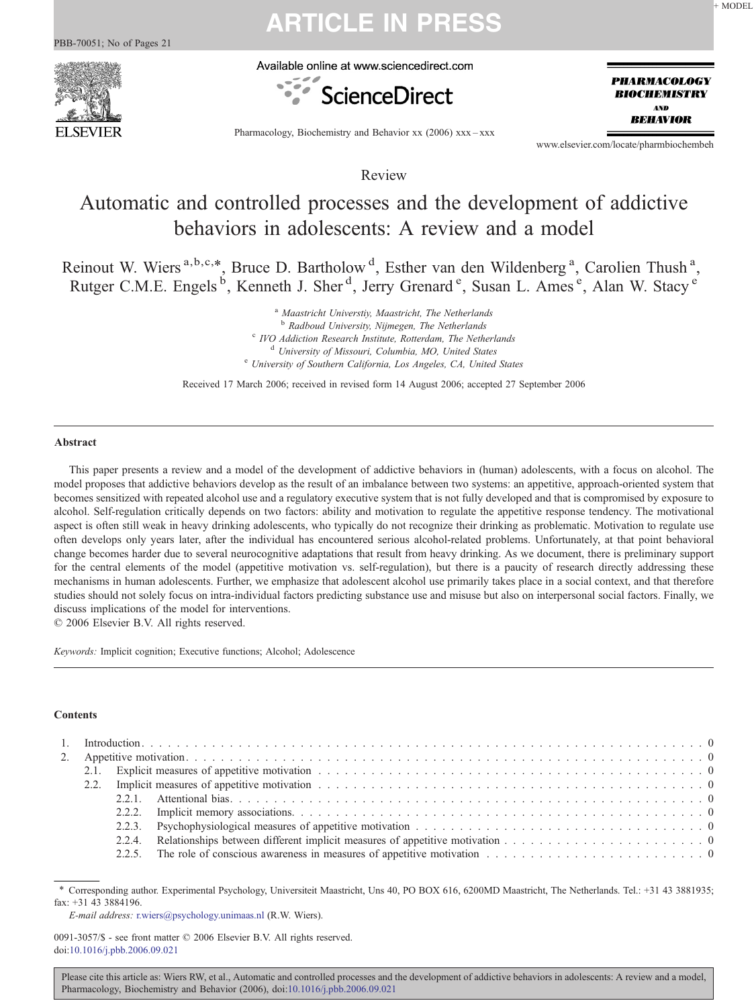





**PHARMACOLOGY BIOCHEMISTRY**  $AND$ **REHAVIOR** 

+ MODEL

Pharmacology, Biochemistry and Behavior xx (2006) xxx–xxx

www.elsevier.com/locate/pharmbiochembeh

Review

### Automatic and controlled processes and the development of addictive behaviors in adolescents: A review and a model

Reinout W. Wiers<sup>a,b,c,\*</sup>, Bruce D. Bartholow<sup>d</sup>, Esther van den Wildenberg<sup>a</sup>, Carolien Thush<sup>a</sup>, Rutger C.M.E. Engels <sup>b</sup>, Kenneth J. Sher<sup>d</sup>, Jerry Grenard<sup>e</sup>, Susan L. Ames<sup>e</sup>, Alan W. Stacy<sup>e</sup>

<sup>a</sup> Maastricht Universtiy, Maastricht, The Netherlands

 $<sup>b</sup>$  Radboud University, Nijmegen, The Netherlands</sup> <sup>c</sup> IVO Addiction Research Institute, Rotterdam, The Netherlands<br><sup>d</sup> University of Missouri, Columbia, MO, United States<br><sup>e</sup> University of Southern California, Los Angeles, CA, United States

Received 17 March 2006; received in revised form 14 August 2006; accepted 27 September 2006

#### Abstract

This paper presents a review and a model of the development of addictive behaviors in (human) adolescents, with a focus on alcohol. The model proposes that addictive behaviors develop as the result of an imbalance between two systems: an appetitive, approach-oriented system that becomes sensitized with repeated alcohol use and a regulatory executive system that is not fully developed and that is compromised by exposure to alcohol. Self-regulation critically depends on two factors: ability and motivation to regulate the appetitive response tendency. The motivational aspect is often still weak in heavy drinking adolescents, who typically do not recognize their drinking as problematic. Motivation to regulate use often develops only years later, after the individual has encountered serious alcohol-related problems. Unfortunately, at that point behavioral change becomes harder due to several neurocognitive adaptations that result from heavy drinking. As we document, there is preliminary support for the central elements of the model (appetitive motivation vs. self-regulation), but there is a paucity of research directly addressing these mechanisms in human adolescents. Further, we emphasize that adolescent alcohol use primarily takes place in a social context, and that therefore studies should not solely focus on intra-individual factors predicting substance use and misuse but also on interpersonal social factors. Finally, we discuss implications of the model for interventions.

© 2006 Elsevier B.V. All rights reserved.

Keywords: Implicit cognition; Executive functions; Alcohol; Adolescence

#### **Contents**

<sup>⁎</sup> Corresponding author. Experimental Psychology, Universiteit Maastricht, Uns 40, PO BOX 616, 6200MD Maastricht, The Netherlands. Tel.: +31 43 3881935; fax: +31 43 3884196.

E-mail address: [r.wiers@psychology.unimaas.nl](mailto:r.wiers@psychology.unimaas.nl) (R.W. Wiers).

<sup>0091-3057/\$ -</sup> see front matter © 2006 Elsevier B.V. All rights reserved. doi:[10.1016/j.pbb.2006.09.021](http://dx.doi.org/10.1016/j.pbb.2006.09.021)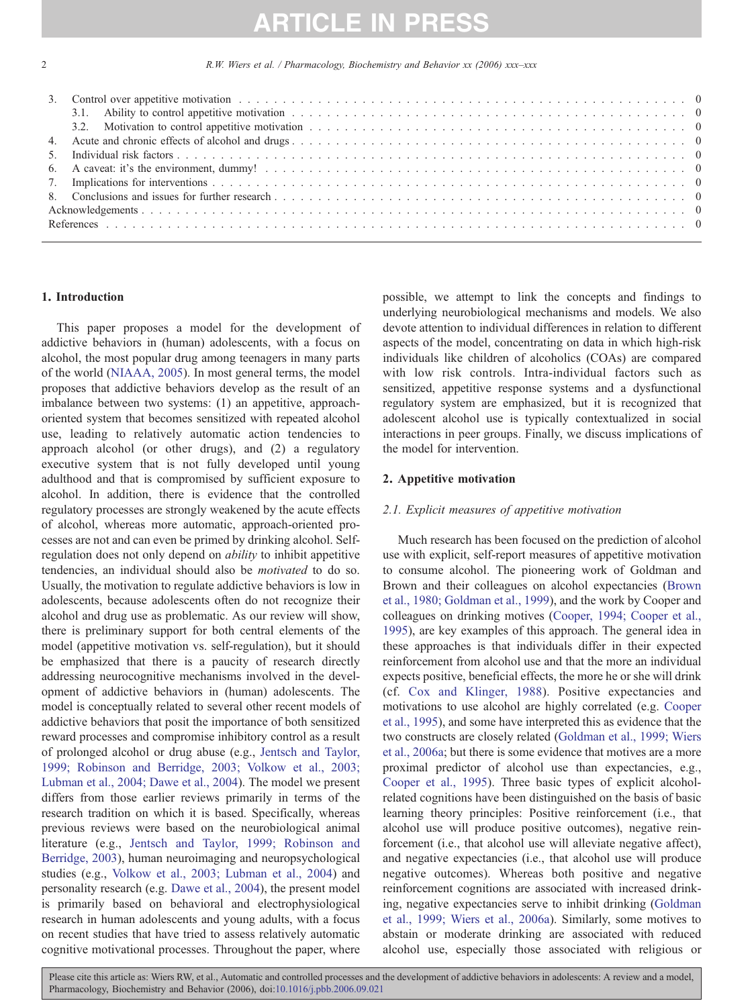2 R.W. Wiers et al. / Pharmacology, Biochemistry and Behavior xx (2006) xxx–xxx

#### 1. Introduction

This paper proposes a model for the development of addictive behaviors in (human) adolescents, with a focus on alcohol, the most popular drug among teenagers in many parts of the world [\(NIAAA, 2005](#page-18-0)). In most general terms, the model proposes that addictive behaviors develop as the result of an imbalance between two systems: (1) an appetitive, approachoriented system that becomes sensitized with repeated alcohol use, leading to relatively automatic action tendencies to approach alcohol (or other drugs), and (2) a regulatory executive system that is not fully developed until young adulthood and that is compromised by sufficient exposure to alcohol. In addition, there is evidence that the controlled regulatory processes are strongly weakened by the acute effects of alcohol, whereas more automatic, approach-oriented processes are not and can even be primed by drinking alcohol. Selfregulation does not only depend on ability to inhibit appetitive tendencies, an individual should also be motivated to do so. Usually, the motivation to regulate addictive behaviors is low in adolescents, because adolescents often do not recognize their alcohol and drug use as problematic. As our review will show, there is preliminary support for both central elements of the model (appetitive motivation vs. self-regulation), but it should be emphasized that there is a paucity of research directly addressing neurocognitive mechanisms involved in the development of addictive behaviors in (human) adolescents. The model is conceptually related to several other recent models of addictive behaviors that posit the importance of both sensitized reward processes and compromise inhibitory control as a result of prolonged alcohol or drug abuse (e.g., [Jentsch and Taylor,](#page-17-0) [1999; Robinson and Berridge, 2003; Volkow et al., 2003;](#page-17-0) [Lubman et al., 2004; Dawe et al., 2004\)](#page-17-0). The model we present differs from those earlier reviews primarily in terms of the research tradition on which it is based. Specifically, whereas previous reviews were based on the neurobiological animal literature (e.g., [Jentsch and Taylor, 1999; Robinson and](#page-17-0) [Berridge, 2003\)](#page-17-0), human neuroimaging and neuropsychological studies (e.g., [Volkow et al., 2003; Lubman et al., 2004](#page-20-0)) and personality research (e.g. [Dawe et al., 2004\)](#page-15-0), the present model is primarily based on behavioral and electrophysiological research in human adolescents and young adults, with a focus on recent studies that have tried to assess relatively automatic cognitive motivational processes. Throughout the paper, where

possible, we attempt to link the concepts and findings to underlying neurobiological mechanisms and models. We also devote attention to individual differences in relation to different aspects of the model, concentrating on data in which high-risk individuals like children of alcoholics (COAs) are compared with low risk controls. Intra-individual factors such as sensitized, appetitive response systems and a dysfunctional regulatory system are emphasized, but it is recognized that adolescent alcohol use is typically contextualized in social interactions in peer groups. Finally, we discuss implications of the model for intervention.

#### 2. Appetitive motivation

#### 2.1. Explicit measures of appetitive motivation

Much research has been focused on the prediction of alcohol use with explicit, self-report measures of appetitive motivation to consume alcohol. The pioneering work of Goldman and Brown and their colleagues on alcohol expectancies ([Brown](#page-15-0) [et al., 1980; Goldman et al., 1999](#page-15-0)), and the work by Cooper and colleagues on drinking motives ([Cooper, 1994; Cooper et al.,](#page-15-0) [1995\)](#page-15-0), are key examples of this approach. The general idea in these approaches is that individuals differ in their expected reinforcement from alcohol use and that the more an individual expects positive, beneficial effects, the more he or she will drink (cf. [Cox and Klinger, 1988](#page-15-0)). Positive expectancies and motivations to use alcohol are highly correlated (e.g. [Cooper](#page-15-0) [et al., 1995](#page-15-0)), and some have interpreted this as evidence that the two constructs are closely related [\(Goldman et al., 1999; Wiers](#page-16-0) [et al., 2006a;](#page-16-0) but there is some evidence that motives are a more proximal predictor of alcohol use than expectancies, e.g., [Cooper et al., 1995](#page-15-0)). Three basic types of explicit alcoholrelated cognitions have been distinguished on the basis of basic learning theory principles: Positive reinforcement (i.e., that alcohol use will produce positive outcomes), negative reinforcement (i.e., that alcohol use will alleviate negative affect), and negative expectancies (i.e., that alcohol use will produce negative outcomes). Whereas both positive and negative reinforcement cognitions are associated with increased drinking, negative expectancies serve to inhibit drinking ([Goldman](#page-16-0) [et al., 1999; Wiers et al., 2006a](#page-16-0)). Similarly, some motives to abstain or moderate drinking are associated with reduced alcohol use, especially those associated with religious or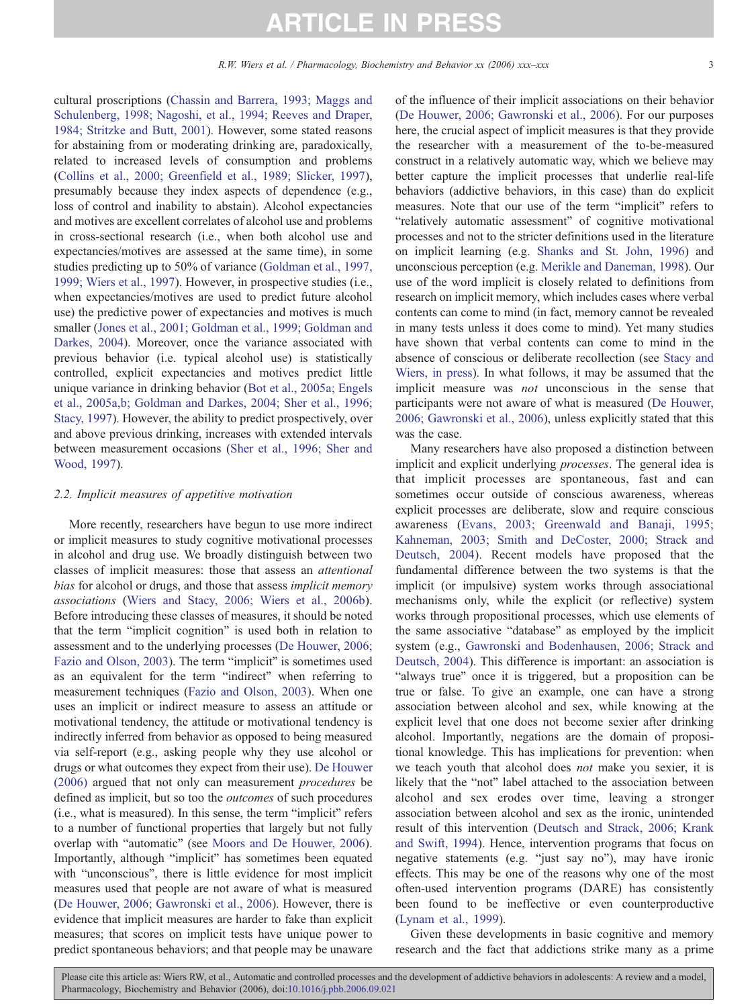cultural proscriptions [\(Chassin and Barrera, 1993; Maggs and](#page-15-0) [Schulenberg, 1998; Nagoshi, et al., 1994; Reeves and Draper,](#page-15-0) [1984; Stritzke and Butt, 2001\)](#page-15-0). However, some stated reasons for abstaining from or moderating drinking are, paradoxically, related to increased levels of consumption and problems ([Collins et al., 2000; Greenfield et al., 1989; Slicker, 1997\)](#page-15-0), presumably because they index aspects of dependence (e.g., loss of control and inability to abstain). Alcohol expectancies and motives are excellent correlates of alcohol use and problems in cross-sectional research (i.e., when both alcohol use and expectancies/motives are assessed at the same time), in some studies predicting up to 50% of variance ([Goldman et al., 1997,](#page-16-0) [1999; Wiers et al., 1997\)](#page-16-0). However, in prospective studies (i.e., when expectancies/motives are used to predict future alcohol use) the predictive power of expectancies and motives is much smaller [\(Jones et al., 2001; Goldman et al., 1999; Goldman and](#page-17-0) [Darkes, 2004](#page-17-0)). Moreover, once the variance associated with previous behavior (i.e. typical alcohol use) is statistically controlled, explicit expectancies and motives predict little unique variance in drinking behavior [\(Bot et al., 2005a; Engels](#page-15-0) [et al., 2005a,b; Goldman and Darkes, 2004; Sher et al., 1996;](#page-15-0) [Stacy, 1997\)](#page-15-0). However, the ability to predict prospectively, over and above previous drinking, increases with extended intervals between measurement occasions ([Sher et al., 1996; Sher and](#page-19-0)

#### 2.2. Implicit measures of appetitive motivation

[Wood, 1997\)](#page-19-0).

More recently, researchers have begun to use more indirect or implicit measures to study cognitive motivational processes in alcohol and drug use. We broadly distinguish between two classes of implicit measures: those that assess an attentional bias for alcohol or drugs, and those that assess implicit memory associations ([Wiers and Stacy, 2006; Wiers et al., 2006b\)](#page-20-0). Before introducing these classes of measures, it should be noted that the term "implicit cognition" is used both in relation to assessment and to the underlying processes [\(De Houwer, 2006;](#page-15-0) [Fazio and Olson, 2003\)](#page-15-0). The term "implicit" is sometimes used as an equivalent for the term "indirect" when referring to measurement techniques [\(Fazio and Olson, 2003](#page-16-0)). When one uses an implicit or indirect measure to assess an attitude or motivational tendency, the attitude or motivational tendency is indirectly inferred from behavior as opposed to being measured via self-report (e.g., asking people why they use alcohol or drugs or what outcomes they expect from their use). [De Houwer](#page-15-0) [\(2006\)](#page-15-0) argued that not only can measurement procedures be defined as implicit, but so too the outcomes of such procedures (i.e., what is measured). In this sense, the term "implicit" refers to a number of functional properties that largely but not fully overlap with "automatic" (see [Moors and De Houwer, 2006\)](#page-18-0). Importantly, although "implicit" has sometimes been equated with "unconscious", there is little evidence for most implicit measures used that people are not aware of what is measured ([De Houwer, 2006; Gawronski et al., 2006](#page-15-0)). However, there is evidence that implicit measures are harder to fake than explicit measures; that scores on implicit tests have unique power to predict spontaneous behaviors; and that people may be unaware

of the influence of their implicit associations on their behavior ([De Houwer, 2006; Gawronski et al., 2006](#page-15-0)). For our purposes here, the crucial aspect of implicit measures is that they provide the researcher with a measurement of the to-be-measured construct in a relatively automatic way, which we believe may better capture the implicit processes that underlie real-life behaviors (addictive behaviors, in this case) than do explicit measures. Note that our use of the term "implicit" refers to "relatively automatic assessment" of cognitive motivational processes and not to the stricter definitions used in the literature on implicit learning (e.g. [Shanks and St. John, 1996\)](#page-19-0) and unconscious perception (e.g. [Merikle and Daneman, 1998](#page-18-0)). Our use of the word implicit is closely related to definitions from research on implicit memory, which includes cases where verbal contents can come to mind (in fact, memory cannot be revealed in many tests unless it does come to mind). Yet many studies have shown that verbal contents can come to mind in the absence of conscious or deliberate recollection (see [Stacy and](#page-19-0) [Wiers, in press](#page-19-0)). In what follows, it may be assumed that the implicit measure was not unconscious in the sense that participants were not aware of what is measured ([De Houwer,](#page-15-0) [2006; Gawronski et al., 2006](#page-15-0)), unless explicitly stated that this was the case.

Many researchers have also proposed a distinction between implicit and explicit underlying processes. The general idea is that implicit processes are spontaneous, fast and can sometimes occur outside of conscious awareness, whereas explicit processes are deliberate, slow and require conscious awareness ([Evans, 2003; Greenwald and Banaji, 1995;](#page-16-0) [Kahneman, 2003; Smith and DeCoster, 2000; Strack and](#page-16-0) [Deutsch, 2004](#page-16-0)). Recent models have proposed that the fundamental difference between the two systems is that the implicit (or impulsive) system works through associational mechanisms only, while the explicit (or reflective) system works through propositional processes, which use elements of the same associative "database" as employed by the implicit system (e.g., [Gawronski and Bodenhausen, 2006; Strack and](#page-16-0) [Deutsch, 2004\)](#page-16-0). This difference is important: an association is "always true" once it is triggered, but a proposition can be true or false. To give an example, one can have a strong association between alcohol and sex, while knowing at the explicit level that one does not become sexier after drinking alcohol. Importantly, negations are the domain of propositional knowledge. This has implications for prevention: when we teach youth that alcohol does not make you sexier, it is likely that the "not" label attached to the association between alcohol and sex erodes over time, leaving a stronger association between alcohol and sex as the ironic, unintended result of this intervention ([Deutsch and Strack, 2006; Krank](#page-15-0) [and Swift, 1994\)](#page-15-0). Hence, intervention programs that focus on negative statements (e.g. "just say no"), may have ironic effects. This may be one of the reasons why one of the most often-used intervention programs (DARE) has consistently been found to be ineffective or even counterproductive ([Lynam et al., 1999](#page-17-0)).

Given these developments in basic cognitive and memory research and the fact that addictions strike many as a prime

Please cite this article as: Wiers RW, et al., Automatic and controlled processes and the development of addictive behaviors in adolescents: A review and a model, Pharmacology, Biochemistry and Behavior (2006), doi:[10.1016/j.pbb.2006.09.021](http://dx.doi.org/10.1016/j.pbb.2006.09.021)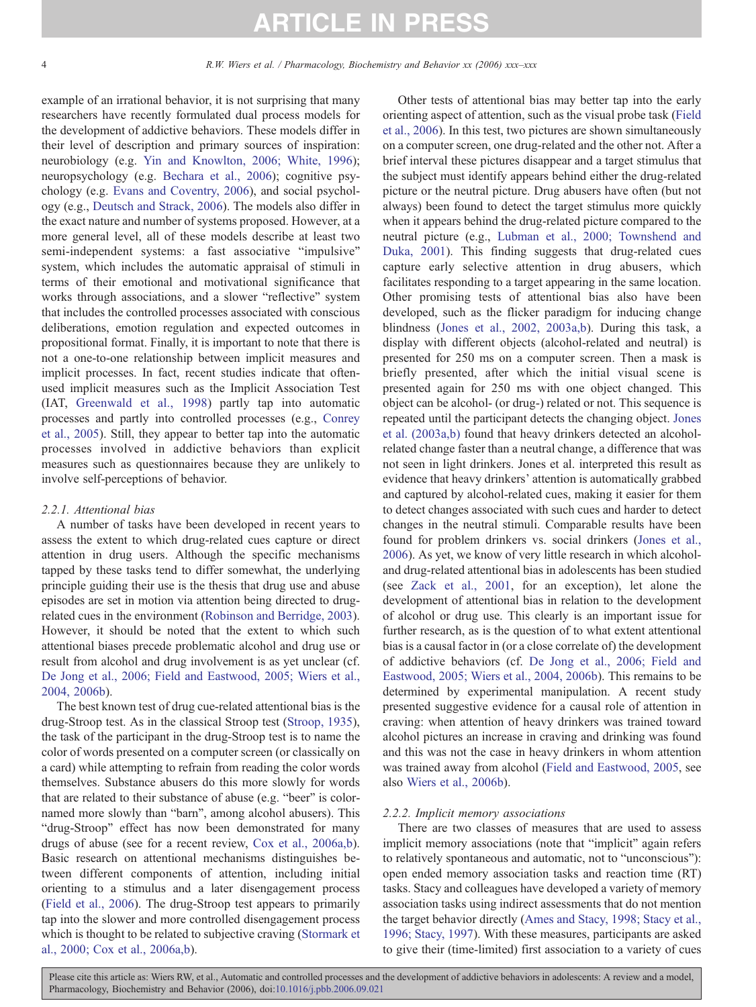example of an irrational behavior, it is not surprising that many researchers have recently formulated dual process models for the development of addictive behaviors. These models differ in their level of description and primary sources of inspiration: neurobiology (e.g. [Yin and Knowlton, 2006; White, 1996\)](#page-20-0); neuropsychology (e.g. [Bechara et al., 2006](#page-14-0)); cognitive psychology (e.g. [Evans and Coventry, 2006](#page-16-0)), and social psychology (e.g., [Deutsch and Strack, 2006\)](#page-15-0). The models also differ in the exact nature and number of systems proposed. However, at a more general level, all of these models describe at least two semi-independent systems: a fast associative "impulsive" system, which includes the automatic appraisal of stimuli in terms of their emotional and motivational significance that works through associations, and a slower "reflective" system that includes the controlled processes associated with conscious deliberations, emotion regulation and expected outcomes in propositional format. Finally, it is important to note that there is not a one-to-one relationship between implicit measures and implicit processes. In fact, recent studies indicate that oftenused implicit measures such as the Implicit Association Test (IAT, [Greenwald et al., 1998\)](#page-16-0) partly tap into automatic processes and partly into controlled processes (e.g., [Conrey](#page-15-0) [et al., 2005](#page-15-0)). Still, they appear to better tap into the automatic processes involved in addictive behaviors than explicit measures such as questionnaires because they are unlikely to involve self-perceptions of behavior.

#### 2.2.1. Attentional bias

A number of tasks have been developed in recent years to assess the extent to which drug-related cues capture or direct attention in drug users. Although the specific mechanisms tapped by these tasks tend to differ somewhat, the underlying principle guiding their use is the thesis that drug use and abuse episodes are set in motion via attention being directed to drugrelated cues in the environment ([Robinson and Berridge, 2003](#page-19-0)). However, it should be noted that the extent to which such attentional biases precede problematic alcohol and drug use or result from alcohol and drug involvement is as yet unclear (cf. [De Jong et al., 2006; Field and Eastwood, 2005; Wiers et al.,](#page-15-0) [2004, 2006b](#page-15-0)).

The best known test of drug cue-related attentional bias is the drug-Stroop test. As in the classical Stroop test [\(Stroop, 1935](#page-19-0)), the task of the participant in the drug-Stroop test is to name the color of words presented on a computer screen (or classically on a card) while attempting to refrain from reading the color words themselves. Substance abusers do this more slowly for words that are related to their substance of abuse (e.g. "beer" is colornamed more slowly than "barn", among alcohol abusers). This "drug-Stroop" effect has now been demonstrated for many drugs of abuse (see for a recent review, [Cox et al., 2006a,b](#page-15-0)). Basic research on attentional mechanisms distinguishes between different components of attention, including initial orienting to a stimulus and a later disengagement process ([Field et al., 2006\)](#page-16-0). The drug-Stroop test appears to primarily tap into the slower and more controlled disengagement process which is thought to be related to subjective craving ([Stormark et](#page-19-0) [al., 2000; Cox et al., 2006a,b\)](#page-19-0).

Other tests of attentional bias may better tap into the early orienting aspect of attention, such as the visual probe task [\(Field](#page-16-0) [et al., 2006\)](#page-16-0). In this test, two pictures are shown simultaneously on a computer screen, one drug-related and the other not. After a brief interval these pictures disappear and a target stimulus that the subject must identify appears behind either the drug-related picture or the neutral picture. Drug abusers have often (but not always) been found to detect the target stimulus more quickly when it appears behind the drug-related picture compared to the neutral picture (e.g., [Lubman et al., 2000; Townshend and](#page-17-0) [Duka, 2001\)](#page-17-0). This finding suggests that drug-related cues capture early selective attention in drug abusers, which facilitates responding to a target appearing in the same location. Other promising tests of attentional bias also have been developed, such as the flicker paradigm for inducing change blindness [\(Jones et al., 2002, 2003a,b](#page-17-0)). During this task, a display with different objects (alcohol-related and neutral) is presented for 250 ms on a computer screen. Then a mask is briefly presented, after which the initial visual scene is presented again for 250 ms with one object changed. This object can be alcohol- (or drug-) related or not. This sequence is repeated until the participant detects the changing object. [Jones](#page-17-0) [et al. \(2003a,b\)](#page-17-0) found that heavy drinkers detected an alcoholrelated change faster than a neutral change, a difference that was not seen in light drinkers. Jones et al. interpreted this result as evidence that heavy drinkers' attention is automatically grabbed and captured by alcohol-related cues, making it easier for them to detect changes associated with such cues and harder to detect changes in the neutral stimuli. Comparable results have been found for problem drinkers vs. social drinkers ([Jones et al.,](#page-17-0) [2006\)](#page-17-0). As yet, we know of very little research in which alcoholand drug-related attentional bias in adolescents has been studied (see [Zack et al., 2001,](#page-20-0) for an exception), let alone the development of attentional bias in relation to the development of alcohol or drug use. This clearly is an important issue for further research, as is the question of to what extent attentional bias is a causal factor in (or a close correlate of) the development of addictive behaviors (cf. [De Jong et al., 2006; Field and](#page-15-0) [Eastwood, 2005; Wiers et al., 2004, 2006b](#page-15-0)). This remains to be determined by experimental manipulation. A recent study presented suggestive evidence for a causal role of attention in craving: when attention of heavy drinkers was trained toward alcohol pictures an increase in craving and drinking was found and this was not the case in heavy drinkers in whom attention was trained away from alcohol ([Field and Eastwood, 2005,](#page-16-0) see also [Wiers et al., 2006b\)](#page-20-0).

#### 2.2.2. Implicit memory associations

There are two classes of measures that are used to assess implicit memory associations (note that "implicit" again refers to relatively spontaneous and automatic, not to "unconscious"): open ended memory association tasks and reaction time (RT) tasks. Stacy and colleagues have developed a variety of memory association tasks using indirect assessments that do not mention the target behavior directly [\(Ames and Stacy, 1998; Stacy et al.,](#page-14-0) [1996; Stacy, 1997](#page-14-0)). With these measures, participants are asked to give their (time-limited) first association to a variety of cues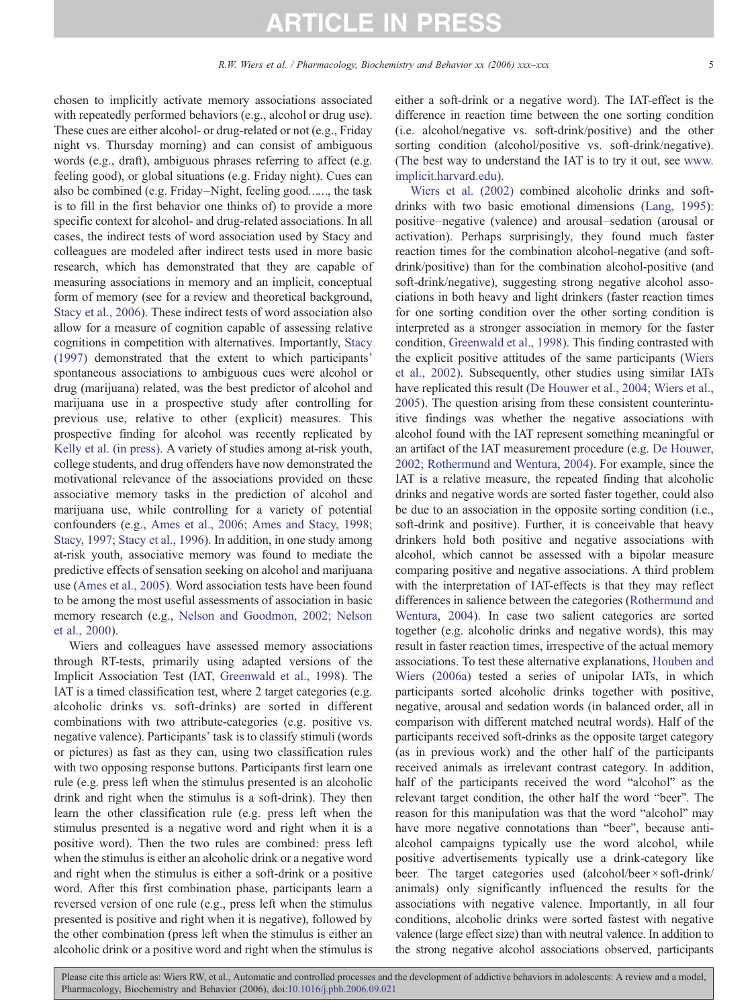chosen to implicitly activate memory associations associated with repeatedly performed behaviors (e.g., alcohol or drug use). These cues are either alcohol- or drug-related or not (e.g., Friday night vs. Thursday morning) and can consist of ambiguous words (e.g., draft), ambiguous phrases referring to affect (e.g. feeling good), or global situations (e.g. Friday night). Cues can also be combined (e.g. Friday–Night, feeling good……, the task is to fill in the first behavior one thinks of) to provide a more specific context for alcohol- and drug-related associations. In all cases, the indirect tests of word association used by Stacy and colleagues are modeled after indirect tests used in more basic research, which has demonstrated that they are capable of measuring associations in memory and an implicit, conceptual form of memory (see for a review and theoretical background, [Stacy et al., 2006](#page-19-0)). These indirect tests of word association also allow for a measure of cognition capable of assessing relative cognitions in competition with alternatives. Importantly, [Stacy](#page-19-0) [\(1997\)](#page-19-0) demonstrated that the extent to which participants' spontaneous associations to ambiguous cues were alcohol or drug (marijuana) related, was the best predictor of alcohol and marijuana use in a prospective study after controlling for previous use, relative to other (explicit) measures. This prospective finding for alcohol was recently replicated by [Kelly et al. \(in press\)](#page-17-0). A variety of studies among at-risk youth, college students, and drug offenders have now demonstrated the motivational relevance of the associations provided on these associative memory tasks in the prediction of alcohol and marijuana use, while controlling for a variety of potential confounders (e.g., [Ames et al., 2006; Ames and Stacy, 1998;](#page-14-0) [Stacy, 1997; Stacy et al., 1996\)](#page-14-0). In addition, in one study among at-risk youth, associative memory was found to mediate the predictive effects of sensation seeking on alcohol and marijuana use [\(Ames et al., 2005](#page-14-0)). Word association tests have been found to be among the most useful assessments of association in basic memory research (e.g., [Nelson and Goodmon, 2002; Nelson](#page-18-0) [et al., 2000\)](#page-18-0).

Wiers and colleagues have assessed memory associations through RT-tests, primarily using adapted versions of the Implicit Association Test (IAT, [Greenwald et al., 1998](#page-16-0)). The IAT is a timed classification test, where 2 target categories (e.g. alcoholic drinks vs. soft-drinks) are sorted in different combinations with two attribute-categories (e.g. positive vs. negative valence). Participants' task is to classify stimuli (words or pictures) as fast as they can, using two classification rules with two opposing response buttons. Participants first learn one rule (e.g. press left when the stimulus presented is an alcoholic drink and right when the stimulus is a soft-drink). They then learn the other classification rule (e.g. press left when the stimulus presented is a negative word and right when it is a positive word). Then the two rules are combined: press left when the stimulus is either an alcoholic drink or a negative word and right when the stimulus is either a soft-drink or a positive word. After this first combination phase, participants learn a reversed version of one rule (e.g., press left when the stimulus presented is positive and right when it is negative), followed by the other combination (press left when the stimulus is either an alcoholic drink or a positive word and right when the stimulus is either a soft-drink or a negative word). The IAT-effect is the difference in reaction time between the one sorting condition (i.e. alcohol/negative vs. soft-drink/positive) and the other sorting condition (alcohol/positive vs. soft-drink/negative). (The best way to understand the IAT is to try it out, see [www.](http://www.implicit.harvard.edu) [implicit.harvard.edu\)](http://www.implicit.harvard.edu).

[Wiers et al. \(2002\)](#page-20-0) combined alcoholic drinks and softdrinks with two basic emotional dimensions ([Lang, 1995\)](#page-17-0): positive–negative (valence) and arousal–sedation (arousal or activation). Perhaps surprisingly, they found much faster reaction times for the combination alcohol-negative (and softdrink/positive) than for the combination alcohol-positive (and soft-drink/negative), suggesting strong negative alcohol associations in both heavy and light drinkers (faster reaction times for one sorting condition over the other sorting condition is interpreted as a stronger association in memory for the faster condition, [Greenwald et al., 1998](#page-16-0)). This finding contrasted with the explicit positive attitudes of the same participants [\(Wiers](#page-20-0) [et al., 2002\)](#page-20-0). Subsequently, other studies using similar IATs have replicated this result ([De Houwer et al., 2004; Wiers et al.,](#page-15-0) [2005](#page-15-0)). The question arising from these consistent counterintuitive findings was whether the negative associations with alcohol found with the IAT represent something meaningful or an artifact of the IAT measurement procedure (e.g. [De Houwer,](#page-15-0) [2002; Rothermund and Wentura, 2004](#page-15-0)). For example, since the IAT is a relative measure, the repeated finding that alcoholic drinks and negative words are sorted faster together, could also be due to an association in the opposite sorting condition (i.e., soft-drink and positive). Further, it is conceivable that heavy drinkers hold both positive and negative associations with alcohol, which cannot be assessed with a bipolar measure comparing positive and negative associations. A third problem with the interpretation of IAT-effects is that they may reflect differences in salience between the categories [\(Rothermund and](#page-19-0) [Wentura, 2004](#page-19-0)). In case two salient categories are sorted together (e.g. alcoholic drinks and negative words), this may result in faster reaction times, irrespective of the actual memory associations. To test these alternative explanations, [Houben and](#page-17-0) [Wiers \(2006a\)](#page-17-0) tested a series of unipolar IATs, in which participants sorted alcoholic drinks together with positive, negative, arousal and sedation words (in balanced order, all in comparison with different matched neutral words). Half of the participants received soft-drinks as the opposite target category (as in previous work) and the other half of the participants received animals as irrelevant contrast category. In addition, half of the participants received the word "alcohol" as the relevant target condition, the other half the word "beer". The reason for this manipulation was that the word "alcohol" may have more negative connotations than "beer", because antialcohol campaigns typically use the word alcohol, while positive advertisements typically use a drink-category like beer. The target categories used (alcohol/beer × soft-drink/ animals) only significantly influenced the results for the associations with negative valence. Importantly, in all four conditions, alcoholic drinks were sorted fastest with negative valence (large effect size) than with neutral valence. In addition to the strong negative alcohol associations observed, participants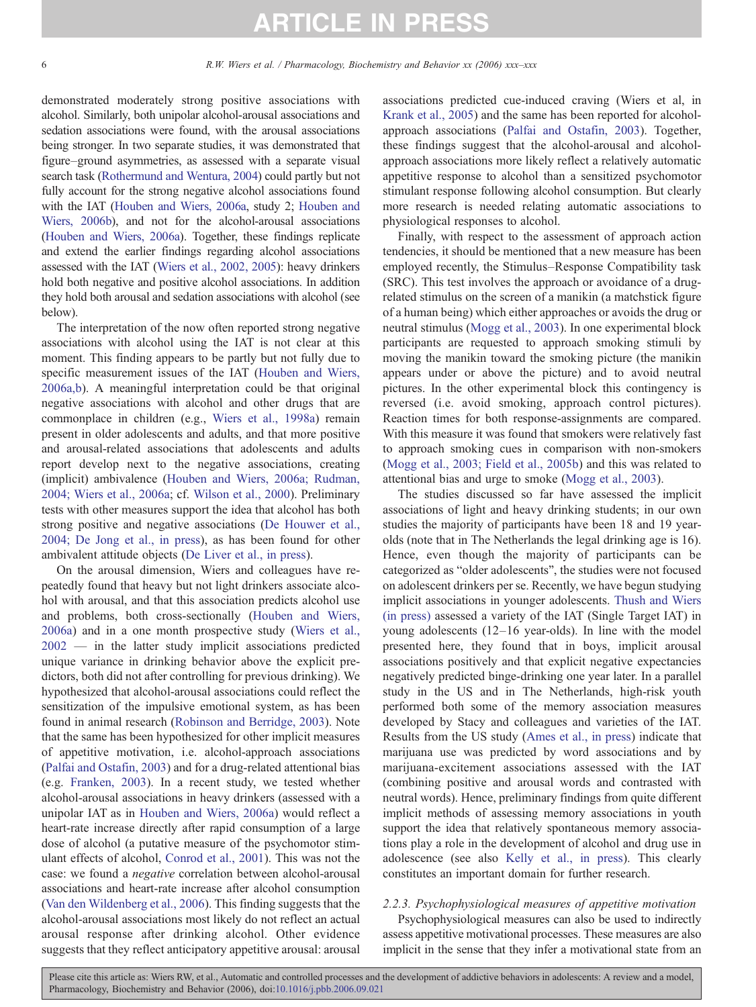demonstrated moderately strong positive associations with alcohol. Similarly, both unipolar alcohol-arousal associations and sedation associations were found, with the arousal associations being stronger. In two separate studies, it was demonstrated that figure–ground asymmetries, as assessed with a separate visual search task [\(Rothermund and Wentura, 2004](#page-19-0)) could partly but not fully account for the strong negative alcohol associations found with the IAT [\(Houben and Wiers, 2006a](#page-17-0), study 2; [Houben and](#page-17-0) [Wiers, 2006b\)](#page-17-0), and not for the alcohol-arousal associations ([Houben and Wiers, 2006a\)](#page-17-0). Together, these findings replicate and extend the earlier findings regarding alcohol associations assessed with the IAT ([Wiers et al., 2002, 2005\)](#page-20-0): heavy drinkers hold both negative and positive alcohol associations. In addition they hold both arousal and sedation associations with alcohol (see below).

The interpretation of the now often reported strong negative associations with alcohol using the IAT is not clear at this moment. This finding appears to be partly but not fully due to specific measurement issues of the IAT ([Houben and Wiers,](#page-17-0) [2006a,b\)](#page-17-0). A meaningful interpretation could be that original negative associations with alcohol and other drugs that are commonplace in children (e.g., [Wiers et al., 1998a](#page-20-0)) remain present in older adolescents and adults, and that more positive and arousal-related associations that adolescents and adults report develop next to the negative associations, creating (implicit) ambivalence ([Houben and Wiers, 2006a; Rudman,](#page-17-0) [2004; Wiers et al., 2006a;](#page-17-0) cf. [Wilson et al., 2000\)](#page-20-0). Preliminary tests with other measures support the idea that alcohol has both strong positive and negative associations ([De Houwer et al.,](#page-15-0) [2004; De Jong et al., in press\)](#page-15-0), as has been found for other ambivalent attitude objects [\(De Liver et al., in press](#page-15-0)).

On the arousal dimension, Wiers and colleagues have repeatedly found that heavy but not light drinkers associate alcohol with arousal, and that this association predicts alcohol use and problems, both cross-sectionally [\(Houben and Wiers,](#page-17-0) [2006a](#page-17-0)) and in a one month prospective study [\(Wiers et al.,](#page-20-0) [2002](#page-20-0) — in the latter study implicit associations predicted unique variance in drinking behavior above the explicit predictors, both did not after controlling for previous drinking). We hypothesized that alcohol-arousal associations could reflect the sensitization of the impulsive emotional system, as has been found in animal research ([Robinson and Berridge, 2003\)](#page-19-0). Note that the same has been hypothesized for other implicit measures of appetitive motivation, i.e. alcohol-approach associations ([Palfai and Ostafin, 2003](#page-18-0)) and for a drug-related attentional bias (e.g. [Franken, 2003\)](#page-16-0). In a recent study, we tested whether alcohol-arousal associations in heavy drinkers (assessed with a unipolar IAT as in [Houben and Wiers, 2006a](#page-17-0)) would reflect a heart-rate increase directly after rapid consumption of a large dose of alcohol (a putative measure of the psychomotor stimulant effects of alcohol, [Conrod et al., 2001](#page-15-0)). This was not the case: we found a negative correlation between alcohol-arousal associations and heart-rate increase after alcohol consumption ([Van den Wildenberg et al., 2006](#page-20-0)). This finding suggests that the alcohol-arousal associations most likely do not reflect an actual arousal response after drinking alcohol. Other evidence suggests that they reflect anticipatory appetitive arousal: arousal associations predicted cue-induced craving (Wiers et al, in [Krank et al., 2005](#page-17-0)) and the same has been reported for alcoholapproach associations ([Palfai and Ostafin, 2003](#page-18-0)). Together, these findings suggest that the alcohol-arousal and alcoholapproach associations more likely reflect a relatively automatic appetitive response to alcohol than a sensitized psychomotor stimulant response following alcohol consumption. But clearly more research is needed relating automatic associations to physiological responses to alcohol.

Finally, with respect to the assessment of approach action tendencies, it should be mentioned that a new measure has been employed recently, the Stimulus–Response Compatibility task (SRC). This test involves the approach or avoidance of a drugrelated stimulus on the screen of a manikin (a matchstick figure of a human being) which either approaches or avoids the drug or neutral stimulus ([Mogg et al., 2003](#page-18-0)). In one experimental block participants are requested to approach smoking stimuli by moving the manikin toward the smoking picture (the manikin appears under or above the picture) and to avoid neutral pictures. In the other experimental block this contingency is reversed (i.e. avoid smoking, approach control pictures). Reaction times for both response-assignments are compared. With this measure it was found that smokers were relatively fast to approach smoking cues in comparison with non-smokers ([Mogg et al., 2003; Field et al., 2005b](#page-18-0)) and this was related to attentional bias and urge to smoke ([Mogg et al., 2003\)](#page-18-0).

The studies discussed so far have assessed the implicit associations of light and heavy drinking students; in our own studies the majority of participants have been 18 and 19 yearolds (note that in The Netherlands the legal drinking age is 16). Hence, even though the majority of participants can be categorized as "older adolescents", the studies were not focused on adolescent drinkers per se. Recently, we have begun studying implicit associations in younger adolescents. [Thush and Wiers](#page-19-0) [\(in press\)](#page-19-0) assessed a variety of the IAT (Single Target IAT) in young adolescents (12–16 year-olds). In line with the model presented here, they found that in boys, implicit arousal associations positively and that explicit negative expectancies negatively predicted binge-drinking one year later. In a parallel study in the US and in The Netherlands, high-risk youth performed both some of the memory association measures developed by Stacy and colleagues and varieties of the IAT. Results from the US study ([Ames et al., in press](#page-14-0)) indicate that marijuana use was predicted by word associations and by marijuana-excitement associations assessed with the IAT (combining positive and arousal words and contrasted with neutral words). Hence, preliminary findings from quite different implicit methods of assessing memory associations in youth support the idea that relatively spontaneous memory associations play a role in the development of alcohol and drug use in adolescence (see also [Kelly et al., in press](#page-17-0)). This clearly constitutes an important domain for further research.

#### 2.2.3. Psychophysiological measures of appetitive motivation

Psychophysiological measures can also be used to indirectly assess appetitive motivational processes. These measures are also implicit in the sense that they infer a motivational state from an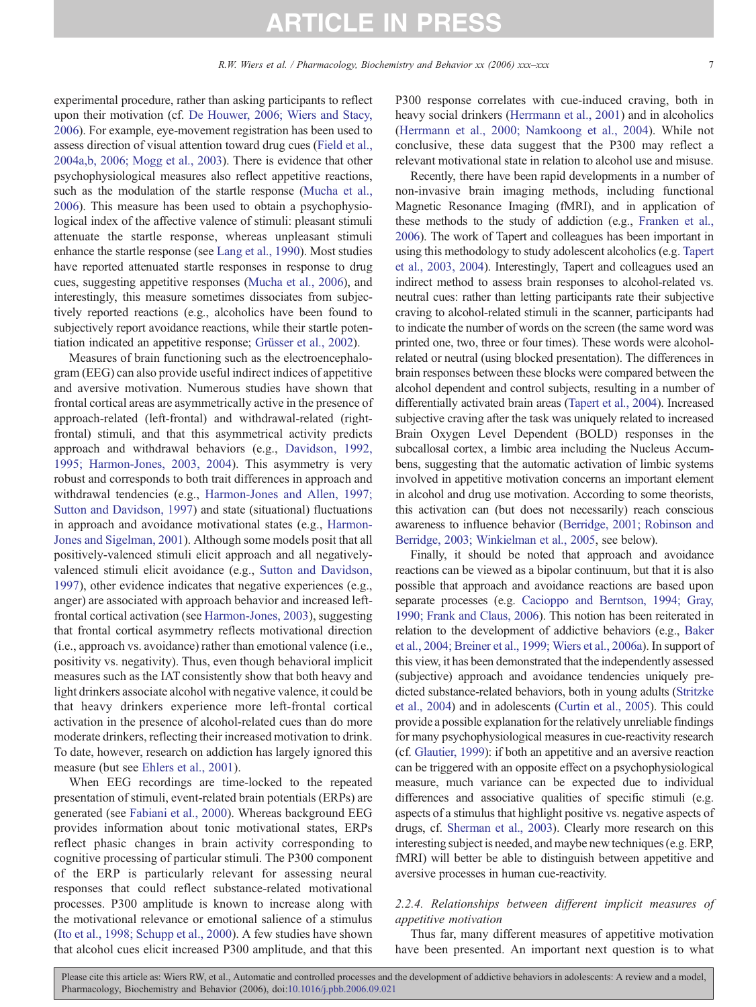experimental procedure, rather than asking participants to reflect upon their motivation (cf. [De Houwer, 2006; Wiers and Stacy,](#page-15-0) [2006](#page-15-0)). For example, eye-movement registration has been used to assess direction of visual attention toward drug cues [\(Field et al.,](#page-16-0) [2004a,b, 2006; Mogg et al., 2003](#page-16-0)). There is evidence that other psychophysiological measures also reflect appetitive reactions, such as the modulation of the startle response [\(Mucha et al.,](#page-18-0) [2006](#page-18-0)). This measure has been used to obtain a psychophysiological index of the affective valence of stimuli: pleasant stimuli attenuate the startle response, whereas unpleasant stimuli enhance the startle response (see [Lang et al., 1990](#page-17-0)). Most studies have reported attenuated startle responses in response to drug cues, suggesting appetitive responses ([Mucha et al., 2006\)](#page-18-0), and interestingly, this measure sometimes dissociates from subjectively reported reactions (e.g., alcoholics have been found to subjectively report avoidance reactions, while their startle potentiation indicated an appetitive response; [Grüsser et al., 2002](#page-16-0)).

Measures of brain functioning such as the electroencephalogram (EEG) can also provide useful indirect indices of appetitive and aversive motivation. Numerous studies have shown that frontal cortical areas are asymmetrically active in the presence of approach-related (left-frontal) and withdrawal-related (rightfrontal) stimuli, and that this asymmetrical activity predicts approach and withdrawal behaviors (e.g., [Davidson, 1992,](#page-15-0) [1995; Harmon-Jones, 2003, 2004\)](#page-15-0). This asymmetry is very robust and corresponds to both trait differences in approach and withdrawal tendencies (e.g., [Harmon-Jones and Allen, 1997;](#page-17-0) [Sutton and Davidson, 1997](#page-17-0)) and state (situational) fluctuations in approach and avoidance motivational states (e.g., [Harmon-](#page-17-0)[Jones and Sigelman, 2001\)](#page-17-0). Although some models posit that all positively-valenced stimuli elicit approach and all negativelyvalenced stimuli elicit avoidance (e.g., [Sutton and Davidson,](#page-19-0) [1997](#page-19-0)), other evidence indicates that negative experiences (e.g., anger) are associated with approach behavior and increased leftfrontal cortical activation (see [Harmon-Jones, 2003](#page-16-0)), suggesting that frontal cortical asymmetry reflects motivational direction (i.e., approach vs. avoidance) rather than emotional valence (i.e., positivity vs. negativity). Thus, even though behavioral implicit measures such as the IAT consistently show that both heavy and light drinkers associate alcohol with negative valence, it could be that heavy drinkers experience more left-frontal cortical activation in the presence of alcohol-related cues than do more moderate drinkers, reflecting their increased motivation to drink. To date, however, research on addiction has largely ignored this measure (but see [Ehlers et al., 2001](#page-16-0)).

When EEG recordings are time-locked to the repeated presentation of stimuli, event-related brain potentials (ERPs) are generated (see [Fabiani et al., 2000](#page-16-0)). Whereas background EEG provides information about tonic motivational states, ERPs reflect phasic changes in brain activity corresponding to cognitive processing of particular stimuli. The P300 component of the ERP is particularly relevant for assessing neural responses that could reflect substance-related motivational processes. P300 amplitude is known to increase along with the motivational relevance or emotional salience of a stimulus ([Ito et al., 1998; Schupp et al., 2000\)](#page-17-0). A few studies have shown that alcohol cues elicit increased P300 amplitude, and that this P300 response correlates with cue-induced craving, both in heavy social drinkers ([Herrmann et al., 2001](#page-17-0)) and in alcoholics ([Herrmann et al., 2000; Namkoong et al., 2004](#page-17-0)). While not conclusive, these data suggest that the P300 may reflect a relevant motivational state in relation to alcohol use and misuse.

Recently, there have been rapid developments in a number of non-invasive brain imaging methods, including functional Magnetic Resonance Imaging (fMRI), and in application of these methods to the study of addiction (e.g., [Franken et al.,](#page-16-0) [2006\)](#page-16-0). The work of Tapert and colleagues has been important in using this methodology to study adolescent alcoholics (e.g. [Tapert](#page-19-0) [et al., 2003, 2004](#page-19-0)). Interestingly, Tapert and colleagues used an indirect method to assess brain responses to alcohol-related vs. neutral cues: rather than letting participants rate their subjective craving to alcohol-related stimuli in the scanner, participants had to indicate the number of words on the screen (the same word was printed one, two, three or four times). These words were alcoholrelated or neutral (using blocked presentation). The differences in brain responses between these blocks were compared between the alcohol dependent and control subjects, resulting in a number of differentially activated brain areas [\(Tapert et al., 2004\)](#page-19-0). Increased subjective craving after the task was uniquely related to increased Brain Oxygen Level Dependent (BOLD) responses in the subcallosal cortex, a limbic area including the Nucleus Accumbens, suggesting that the automatic activation of limbic systems involved in appetitive motivation concerns an important element in alcohol and drug use motivation. According to some theorists, this activation can (but does not necessarily) reach conscious awareness to influence behavior ([Berridge, 2001; Robinson and](#page-15-0) [Berridge, 2003; Winkielman et al., 2005](#page-15-0), see below).

Finally, it should be noted that approach and avoidance reactions can be viewed as a bipolar continuum, but that it is also possible that approach and avoidance reactions are based upon separate processes (e.g. [Cacioppo and Berntson, 1994; Gray,](#page-15-0) [1990; Frank and Claus, 2006\)](#page-15-0). This notion has been reiterated in relation to the development of addictive behaviors (e.g., [Baker](#page-14-0) [et al., 2004; Breiner et al., 1999; Wiers et al., 2006a](#page-14-0)). In support of this view, it has been demonstrated that the independently assessed (subjective) approach and avoidance tendencies uniquely predicted substance-related behaviors, both in young adults [\(Stritzke](#page-19-0) [et al., 2004\)](#page-19-0) and in adolescents [\(Curtin et al., 2005](#page-15-0)). This could provide a possible explanation for the relatively unreliable findings for many psychophysiological measures in cue-reactivity research (cf. [Glautier, 1999\)](#page-16-0): if both an appetitive and an aversive reaction can be triggered with an opposite effect on a psychophysiological measure, much variance can be expected due to individual differences and associative qualities of specific stimuli (e.g. aspects of a stimulus that highlight positive vs. negative aspects of drugs, cf. [Sherman et al., 2003](#page-19-0)). Clearly more research on this interesting subject is needed, and maybe new techniques (e.g. ERP, fMRI) will better be able to distinguish between appetitive and aversive processes in human cue-reactivity.

#### 2.2.4. Relationships between different implicit measures of appetitive motivation

Thus far, many different measures of appetitive motivation have been presented. An important next question is to what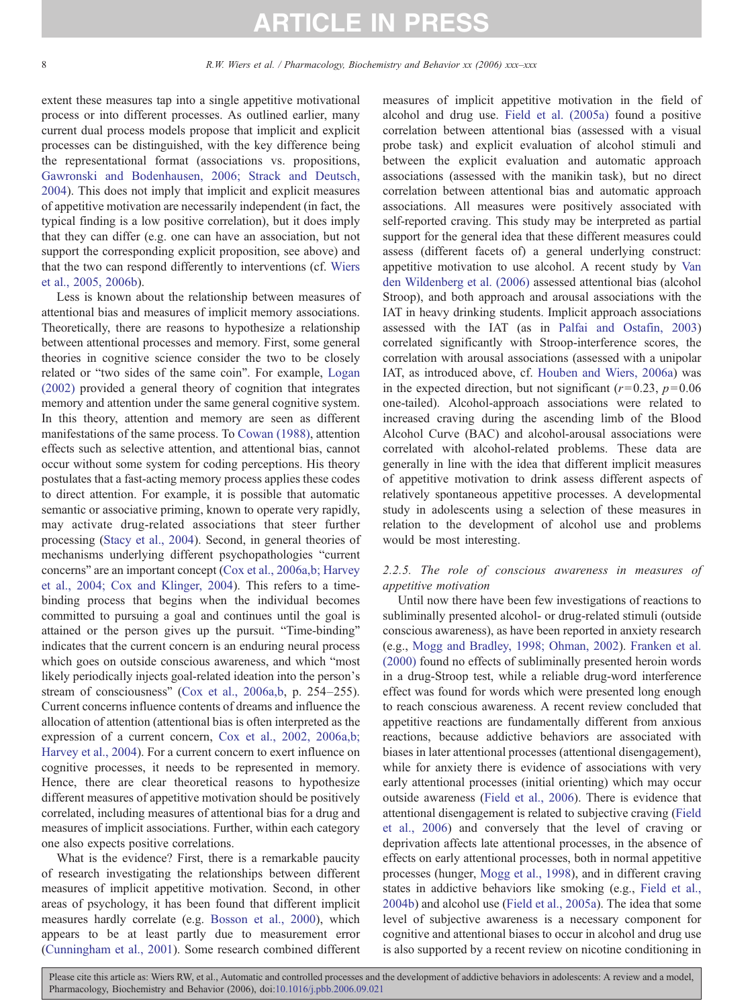extent these measures tap into a single appetitive motivational process or into different processes. As outlined earlier, many current dual process models propose that implicit and explicit processes can be distinguished, with the key difference being the representational format (associations vs. propositions, [Gawronski and Bodenhausen, 2006; Strack and Deutsch,](#page-16-0) [2004\)](#page-16-0). This does not imply that implicit and explicit measures of appetitive motivation are necessarily independent (in fact, the typical finding is a low positive correlation), but it does imply that they can differ (e.g. one can have an association, but not support the corresponding explicit proposition, see above) and that the two can respond differently to interventions (cf. [Wiers](#page-20-0) [et al., 2005, 2006b](#page-20-0)).

Less is known about the relationship between measures of attentional bias and measures of implicit memory associations. Theoretically, there are reasons to hypothesize a relationship between attentional processes and memory. First, some general theories in cognitive science consider the two to be closely related or "two sides of the same coin". For example, [Logan](#page-17-0) [\(2002\)](#page-17-0) provided a general theory of cognition that integrates memory and attention under the same general cognitive system. In this theory, attention and memory are seen as different manifestations of the same process. To [Cowan \(1988\)](#page-15-0), attention effects such as selective attention, and attentional bias, cannot occur without some system for coding perceptions. His theory postulates that a fast-acting memory process applies these codes to direct attention. For example, it is possible that automatic semantic or associative priming, known to operate very rapidly, may activate drug-related associations that steer further processing ([Stacy et al., 2004](#page-19-0)). Second, in general theories of mechanisms underlying different psychopathologies "current concerns" are an important concept [\(Cox et al., 2006a,b; Harvey](#page-15-0) [et al., 2004; Cox and Klinger, 2004\)](#page-15-0). This refers to a timebinding process that begins when the individual becomes committed to pursuing a goal and continues until the goal is attained or the person gives up the pursuit. "Time-binding" indicates that the current concern is an enduring neural process which goes on outside conscious awareness, and which "most likely periodically injects goal-related ideation into the person's stream of consciousness" [\(Cox et al., 2006a,b,](#page-15-0) p. 254–255). Current concerns influence contents of dreams and influence the allocation of attention (attentional bias is often interpreted as the expression of a current concern, [Cox et al., 2002, 2006a,b;](#page-15-0) [Harvey et al., 2004\)](#page-15-0). For a current concern to exert influence on cognitive processes, it needs to be represented in memory. Hence, there are clear theoretical reasons to hypothesize different measures of appetitive motivation should be positively correlated, including measures of attentional bias for a drug and measures of implicit associations. Further, within each category one also expects positive correlations.

What is the evidence? First, there is a remarkable paucity of research investigating the relationships between different measures of implicit appetitive motivation. Second, in other areas of psychology, it has been found that different implicit measures hardly correlate (e.g. [Bosson et al., 2000\)](#page-15-0), which appears to be at least partly due to measurement error ([Cunningham et al., 2001](#page-15-0)). Some research combined different measures of implicit appetitive motivation in the field of alcohol and drug use. [Field et al. \(2005a\)](#page-16-0) found a positive correlation between attentional bias (assessed with a visual probe task) and explicit evaluation of alcohol stimuli and between the explicit evaluation and automatic approach associations (assessed with the manikin task), but no direct correlation between attentional bias and automatic approach associations. All measures were positively associated with self-reported craving. This study may be interpreted as partial support for the general idea that these different measures could assess (different facets of) a general underlying construct: appetitive motivation to use alcohol. A recent study by [Van](#page-20-0) [den Wildenberg et al. \(2006\)](#page-20-0) assessed attentional bias (alcohol Stroop), and both approach and arousal associations with the IAT in heavy drinking students. Implicit approach associations assessed with the IAT (as in [Palfai and Ostafin, 2003\)](#page-18-0) correlated significantly with Stroop-interference scores, the correlation with arousal associations (assessed with a unipolar IAT, as introduced above, cf. [Houben and Wiers, 2006a\)](#page-17-0) was in the expected direction, but not significant  $(r=0.23, p=0.06$ one-tailed). Alcohol-approach associations were related to increased craving during the ascending limb of the Blood Alcohol Curve (BAC) and alcohol-arousal associations were correlated with alcohol-related problems. These data are generally in line with the idea that different implicit measures of appetitive motivation to drink assess different aspects of relatively spontaneous appetitive processes. A developmental study in adolescents using a selection of these measures in relation to the development of alcohol use and problems would be most interesting.

#### 2.2.5. The role of conscious awareness in measures of appetitive motivation

Until now there have been few investigations of reactions to subliminally presented alcohol- or drug-related stimuli (outside conscious awareness), as have been reported in anxiety research (e.g., [Mogg and Bradley, 1998; Ohman, 2002\)](#page-18-0). [Franken et al.](#page-16-0) [\(2000\)](#page-16-0) found no effects of subliminally presented heroin words in a drug-Stroop test, while a reliable drug-word interference effect was found for words which were presented long enough to reach conscious awareness. A recent review concluded that appetitive reactions are fundamentally different from anxious reactions, because addictive behaviors are associated with biases in later attentional processes (attentional disengagement), while for anxiety there is evidence of associations with very early attentional processes (initial orienting) which may occur outside awareness ([Field et al., 2006](#page-16-0)). There is evidence that attentional disengagement is related to subjective craving [\(Field](#page-16-0) [et al., 2006\)](#page-16-0) and conversely that the level of craving or deprivation affects late attentional processes, in the absence of effects on early attentional processes, both in normal appetitive processes (hunger, [Mogg et al., 1998](#page-18-0)), and in different craving states in addictive behaviors like smoking (e.g., [Field et al.,](#page-16-0) [2004b\)](#page-16-0) and alcohol use [\(Field et al., 2005a](#page-16-0)). The idea that some level of subjective awareness is a necessary component for cognitive and attentional biases to occur in alcohol and drug use is also supported by a recent review on nicotine conditioning in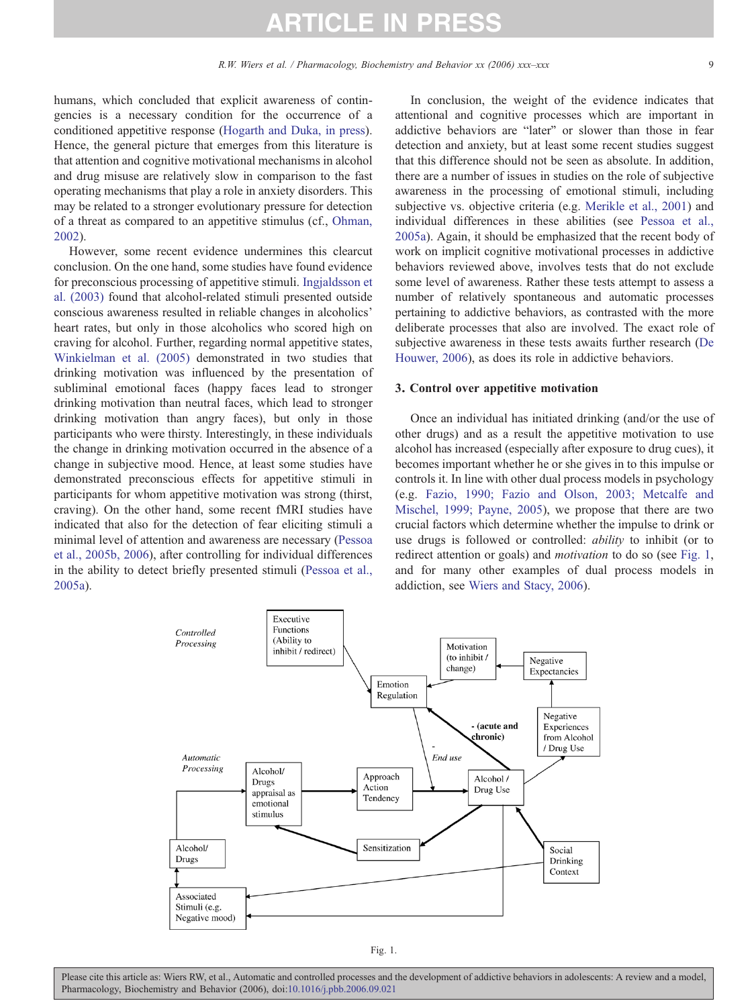<span id="page-8-0"></span>humans, which concluded that explicit awareness of contingencies is a necessary condition for the occurrence of a conditioned appetitive response ([Hogarth and Duka, in press\)](#page-17-0). Hence, the general picture that emerges from this literature is that attention and cognitive motivational mechanisms in alcohol and drug misuse are relatively slow in comparison to the fast operating mechanisms that play a role in anxiety disorders. This may be related to a stronger evolutionary pressure for detection of a threat as compared to an appetitive stimulus (cf., [Ohman,](#page-18-0) [2002](#page-18-0)).

However, some recent evidence undermines this clearcut conclusion. On the one hand, some studies have found evidence for preconscious processing of appetitive stimuli. [Ingjaldsson et](#page-17-0) [al. \(2003\)](#page-17-0) found that alcohol-related stimuli presented outside conscious awareness resulted in reliable changes in alcoholics' heart rates, but only in those alcoholics who scored high on craving for alcohol. Further, regarding normal appetitive states, [Winkielman et al. \(2005\)](#page-20-0) demonstrated in two studies that drinking motivation was influenced by the presentation of subliminal emotional faces (happy faces lead to stronger drinking motivation than neutral faces, which lead to stronger drinking motivation than angry faces), but only in those participants who were thirsty. Interestingly, in these individuals the change in drinking motivation occurred in the absence of a change in subjective mood. Hence, at least some studies have demonstrated preconscious effects for appetitive stimuli in participants for whom appetitive motivation was strong (thirst, craving). On the other hand, some recent fMRI studies have indicated that also for the detection of fear eliciting stimuli a minimal level of attention and awareness are necessary ([Pessoa](#page-18-0) [et al., 2005b, 2006](#page-18-0)), after controlling for individual differences in the ability to detect briefly presented stimuli ([Pessoa et al.,](#page-18-0) [2005a\)](#page-18-0).

In conclusion, the weight of the evidence indicates that attentional and cognitive processes which are important in addictive behaviors are "later" or slower than those in fear detection and anxiety, but at least some recent studies suggest that this difference should not be seen as absolute. In addition, there are a number of issues in studies on the role of subjective awareness in the processing of emotional stimuli, including subjective vs. objective criteria (e.g. [Merikle et al., 2001\)](#page-18-0) and individual differences in these abilities (see [Pessoa et al.,](#page-18-0) [2005a\)](#page-18-0). Again, it should be emphasized that the recent body of work on implicit cognitive motivational processes in addictive behaviors reviewed above, involves tests that do not exclude some level of awareness. Rather these tests attempt to assess a number of relatively spontaneous and automatic processes pertaining to addictive behaviors, as contrasted with the more deliberate processes that also are involved. The exact role of subjective awareness in these tests awaits further research [\(De](#page-15-0) [Houwer, 2006\)](#page-15-0), as does its role in addictive behaviors.

#### 3. Control over appetitive motivation

Once an individual has initiated drinking (and/or the use of other drugs) and as a result the appetitive motivation to use alcohol has increased (especially after exposure to drug cues), it becomes important whether he or she gives in to this impulse or controls it. In line with other dual process models in psychology (e.g. [Fazio, 1990; Fazio and Olson, 2003; Metcalfe and](#page-16-0) [Mischel, 1999; Payne, 2005\)](#page-16-0), we propose that there are two crucial factors which determine whether the impulse to drink or use drugs is followed or controlled: ability to inhibit (or to redirect attention or goals) and motivation to do so (see Fig. 1, and for many other examples of dual process models in addiction, see [Wiers and Stacy, 2006\)](#page-20-0).

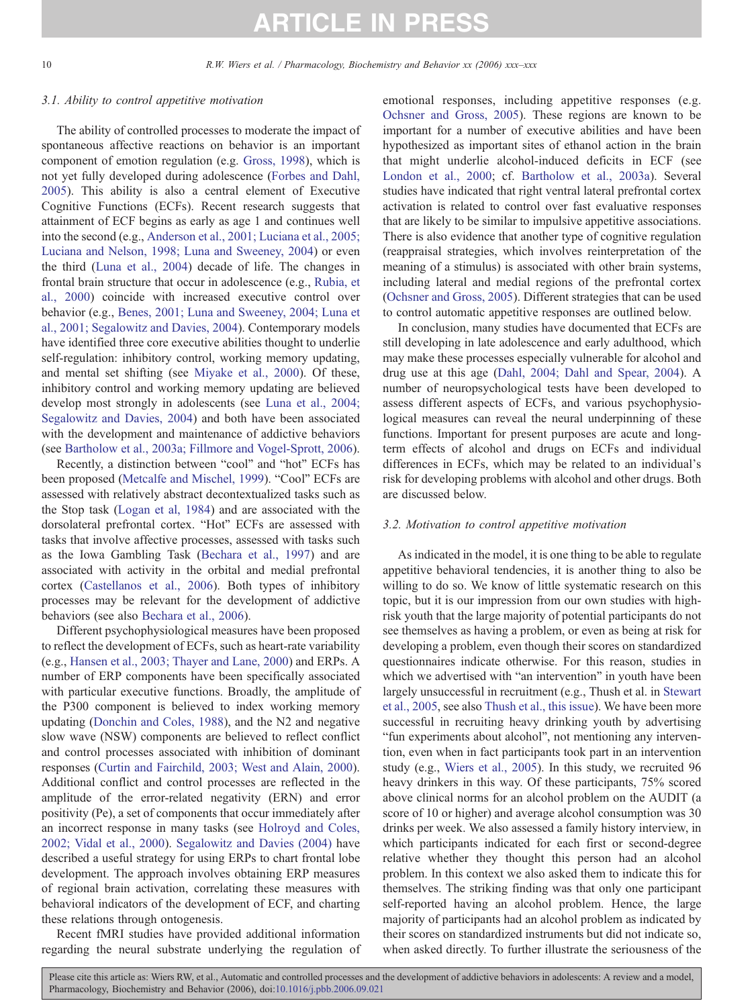#### 3.1. Ability to control appetitive motivation

The ability of controlled processes to moderate the impact of spontaneous affective reactions on behavior is an important component of emotion regulation (e.g. [Gross, 1998\)](#page-16-0), which is not yet fully developed during adolescence ([Forbes and Dahl,](#page-16-0) [2005\)](#page-16-0). This ability is also a central element of Executive Cognitive Functions (ECFs). Recent research suggests that attainment of ECF begins as early as age 1 and continues well into the second (e.g., [Anderson et al., 2001; Luciana et al., 2005;](#page-14-0) [Luciana and Nelson, 1998; Luna and Sweeney, 2004](#page-14-0)) or even the third [\(Luna et al., 2004](#page-17-0)) decade of life. The changes in frontal brain structure that occur in adolescence (e.g., [Rubia, et](#page-19-0) [al., 2000](#page-19-0)) coincide with increased executive control over behavior (e.g., [Benes, 2001; Luna and Sweeney, 2004; Luna et](#page-14-0) [al., 2001; Segalowitz and Davies, 2004](#page-14-0)). Contemporary models have identified three core executive abilities thought to underlie self-regulation: inhibitory control, working memory updating, and mental set shifting (see [Miyake et al., 2000\)](#page-18-0). Of these, inhibitory control and working memory updating are believed develop most strongly in adolescents (see [Luna et al., 2004;](#page-17-0) [Segalowitz and Davies, 2004\)](#page-17-0) and both have been associated with the development and maintenance of addictive behaviors (see [Bartholow et al., 2003a; Fillmore and Vogel-Sprott, 2006](#page-14-0)).

Recently, a distinction between "cool" and "hot" ECFs has been proposed [\(Metcalfe and Mischel, 1999](#page-18-0)). "Cool" ECFs are assessed with relatively abstract decontextualized tasks such as the Stop task [\(Logan et al, 1984\)](#page-17-0) and are associated with the dorsolateral prefrontal cortex. "Hot" ECFs are assessed with tasks that involve affective processes, assessed with tasks such as the Iowa Gambling Task ([Bechara et al., 1997\)](#page-14-0) and are associated with activity in the orbital and medial prefrontal cortex [\(Castellanos et al., 2006\)](#page-15-0). Both types of inhibitory processes may be relevant for the development of addictive behaviors (see also [Bechara et al., 2006](#page-14-0)).

Different psychophysiological measures have been proposed to reflect the development of ECFs, such as heart-rate variability (e.g., [Hansen et al., 2003; Thayer and Lane, 2000\)](#page-16-0) and ERPs. A number of ERP components have been specifically associated with particular executive functions. Broadly, the amplitude of the P300 component is believed to index working memory updating ([Donchin and Coles, 1988](#page-16-0)), and the N2 and negative slow wave (NSW) components are believed to reflect conflict and control processes associated with inhibition of dominant responses [\(Curtin and Fairchild, 2003; West and Alain, 2000](#page-15-0)). Additional conflict and control processes are reflected in the amplitude of the error-related negativity (ERN) and error positivity (Pe), a set of components that occur immediately after an incorrect response in many tasks (see [Holroyd and Coles,](#page-17-0) [2002; Vidal et al., 2000\)](#page-17-0). [Segalowitz and Davies \(2004\)](#page-19-0) have described a useful strategy for using ERPs to chart frontal lobe development. The approach involves obtaining ERP measures of regional brain activation, correlating these measures with behavioral indicators of the development of ECF, and charting these relations through ontogenesis.

Recent fMRI studies have provided additional information regarding the neural substrate underlying the regulation of emotional responses, including appetitive responses (e.g. [Ochsner and Gross, 2005](#page-18-0)). These regions are known to be important for a number of executive abilities and have been hypothesized as important sites of ethanol action in the brain that might underlie alcohol-induced deficits in ECF (see [London et al., 2000;](#page-17-0) cf. [Bartholow et al., 2003a](#page-14-0)). Several studies have indicated that right ventral lateral prefrontal cortex activation is related to control over fast evaluative responses that are likely to be similar to impulsive appetitive associations. There is also evidence that another type of cognitive regulation (reappraisal strategies, which involves reinterpretation of the meaning of a stimulus) is associated with other brain systems, including lateral and medial regions of the prefrontal cortex ([Ochsner and Gross, 2005\)](#page-18-0). Different strategies that can be used to control automatic appetitive responses are outlined below.

In conclusion, many studies have documented that ECFs are still developing in late adolescence and early adulthood, which may make these processes especially vulnerable for alcohol and drug use at this age [\(Dahl, 2004; Dahl and Spear, 2004\)](#page-15-0). A number of neuropsychological tests have been developed to assess different aspects of ECFs, and various psychophysiological measures can reveal the neural underpinning of these functions. Important for present purposes are acute and longterm effects of alcohol and drugs on ECFs and individual differences in ECFs, which may be related to an individual's risk for developing problems with alcohol and other drugs. Both are discussed below.

#### 3.2. Motivation to control appetitive motivation

As indicated in the model, it is one thing to be able to regulate appetitive behavioral tendencies, it is another thing to also be willing to do so. We know of little systematic research on this topic, but it is our impression from our own studies with highrisk youth that the large majority of potential participants do not see themselves as having a problem, or even as being at risk for developing a problem, even though their scores on standardized questionnaires indicate otherwise. For this reason, studies in which we advertised with "an intervention" in youth have been largely unsuccessful in recruitment (e.g., Thush et al. in [Stewart](#page-19-0) [et al., 2005,](#page-19-0) see also [Thush et al., this issue](http://dx.doi.org/doi:10.1016/j.pbb.2006.07.023)). We have been more successful in recruiting heavy drinking youth by advertising "fun experiments about alcohol", not mentioning any intervention, even when in fact participants took part in an intervention study (e.g., [Wiers et al., 2005](#page-20-0)). In this study, we recruited 96 heavy drinkers in this way. Of these participants, 75% scored above clinical norms for an alcohol problem on the AUDIT (a score of 10 or higher) and average alcohol consumption was 30 drinks per week. We also assessed a family history interview, in which participants indicated for each first or second-degree relative whether they thought this person had an alcohol problem. In this context we also asked them to indicate this for themselves. The striking finding was that only one participant self-reported having an alcohol problem. Hence, the large majority of participants had an alcohol problem as indicated by their scores on standardized instruments but did not indicate so, when asked directly. To further illustrate the seriousness of the

Please cite this article as: Wiers RW, et al., Automatic and controlled processes and the development of addictive behaviors in adolescents: A review and a model, Pharmacology, Biochemistry and Behavior (2006), doi:[10.1016/j.pbb.2006.09.021](http://dx.doi.org/10.1016/j.pbb.2006.09.021)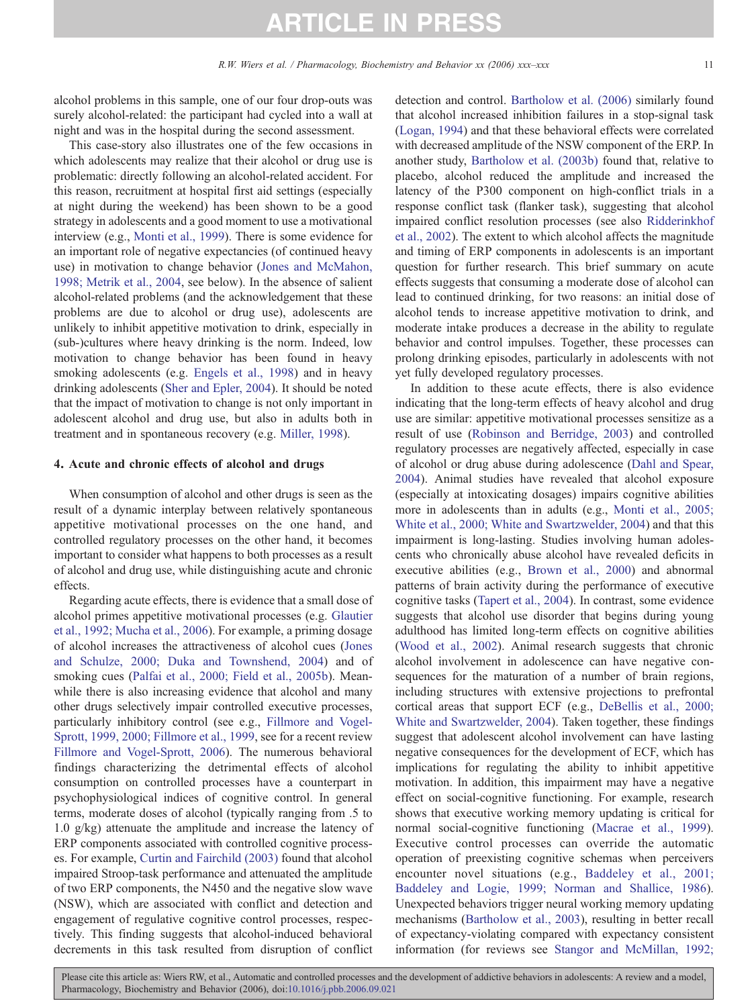alcohol problems in this sample, one of our four drop-outs was surely alcohol-related: the participant had cycled into a wall at night and was in the hospital during the second assessment.

This case-story also illustrates one of the few occasions in which adolescents may realize that their alcohol or drug use is problematic: directly following an alcohol-related accident. For this reason, recruitment at hospital first aid settings (especially at night during the weekend) has been shown to be a good strategy in adolescents and a good moment to use a motivational interview (e.g., [Monti et al., 1999\)](#page-18-0). There is some evidence for an important role of negative expectancies (of continued heavy use) in motivation to change behavior ([Jones and McMahon,](#page-17-0) [1998; Metrik et al., 2004,](#page-17-0) see below). In the absence of salient alcohol-related problems (and the acknowledgement that these problems are due to alcohol or drug use), adolescents are unlikely to inhibit appetitive motivation to drink, especially in (sub-)cultures where heavy drinking is the norm. Indeed, low motivation to change behavior has been found in heavy smoking adolescents (e.g. [Engels et al., 1998\)](#page-16-0) and in heavy drinking adolescents [\(Sher and Epler, 2004\)](#page-19-0). It should be noted that the impact of motivation to change is not only important in adolescent alcohol and drug use, but also in adults both in treatment and in spontaneous recovery (e.g. [Miller, 1998](#page-18-0)).

#### 4. Acute and chronic effects of alcohol and drugs

When consumption of alcohol and other drugs is seen as the result of a dynamic interplay between relatively spontaneous appetitive motivational processes on the one hand, and controlled regulatory processes on the other hand, it becomes important to consider what happens to both processes as a result of alcohol and drug use, while distinguishing acute and chronic effects.

Regarding acute effects, there is evidence that a small dose of alcohol primes appetitive motivational processes (e.g. [Glautier](#page-16-0) [et al., 1992; Mucha et al., 2006](#page-16-0)). For example, a priming dosage of alcohol increases the attractiveness of alcohol cues ([Jones](#page-17-0) [and Schulze, 2000; Duka and Townshend, 2004](#page-17-0)) and of smoking cues ([Palfai et al., 2000; Field et al., 2005b\)](#page-18-0). Meanwhile there is also increasing evidence that alcohol and many other drugs selectively impair controlled executive processes, particularly inhibitory control (see e.g., [Fillmore and Vogel-](#page-16-0)[Sprott, 1999, 2000; Fillmore et al., 1999,](#page-16-0) see for a recent review [Fillmore and Vogel-Sprott, 2006\)](#page-16-0). The numerous behavioral findings characterizing the detrimental effects of alcohol consumption on controlled processes have a counterpart in psychophysiological indices of cognitive control. In general terms, moderate doses of alcohol (typically ranging from .5 to 1.0 g/kg) attenuate the amplitude and increase the latency of ERP components associated with controlled cognitive processes. For example, [Curtin and Fairchild \(2003\)](#page-15-0) found that alcohol impaired Stroop-task performance and attenuated the amplitude of two ERP components, the N450 and the negative slow wave (NSW), which are associated with conflict and detection and engagement of regulative cognitive control processes, respectively. This finding suggests that alcohol-induced behavioral decrements in this task resulted from disruption of conflict

detection and control. [Bartholow et al. \(2006\)](#page-14-0) similarly found that alcohol increased inhibition failures in a stop-signal task ([Logan, 1994](#page-17-0)) and that these behavioral effects were correlated with decreased amplitude of the NSW component of the ERP. In another study, [Bartholow et al. \(2003b\)](#page-14-0) found that, relative to placebo, alcohol reduced the amplitude and increased the latency of the P300 component on high-conflict trials in a response conflict task (flanker task), suggesting that alcohol impaired conflict resolution processes (see also [Ridderinkhof](#page-19-0) [et al., 2002\)](#page-19-0). The extent to which alcohol affects the magnitude and timing of ERP components in adolescents is an important question for further research. This brief summary on acute effects suggests that consuming a moderate dose of alcohol can lead to continued drinking, for two reasons: an initial dose of alcohol tends to increase appetitive motivation to drink, and moderate intake produces a decrease in the ability to regulate behavior and control impulses. Together, these processes can prolong drinking episodes, particularly in adolescents with not yet fully developed regulatory processes.

In addition to these acute effects, there is also evidence indicating that the long-term effects of heavy alcohol and drug use are similar: appetitive motivational processes sensitize as a result of use [\(Robinson and Berridge, 2003\)](#page-19-0) and controlled regulatory processes are negatively affected, especially in case of alcohol or drug abuse during adolescence ([Dahl and Spear,](#page-15-0) [2004](#page-15-0)). Animal studies have revealed that alcohol exposure (especially at intoxicating dosages) impairs cognitive abilities more in adolescents than in adults (e.g., [Monti et al., 2005;](#page-18-0) [White et al., 2000; White and Swartzwelder, 2004\)](#page-18-0) and that this impairment is long-lasting. Studies involving human adolescents who chronically abuse alcohol have revealed deficits in executive abilities (e.g., [Brown et al., 2000](#page-15-0)) and abnormal patterns of brain activity during the performance of executive cognitive tasks [\(Tapert et al., 2004](#page-19-0)). In contrast, some evidence suggests that alcohol use disorder that begins during young adulthood has limited long-term effects on cognitive abilities ([Wood et al., 2002](#page-20-0)). Animal research suggests that chronic alcohol involvement in adolescence can have negative consequences for the maturation of a number of brain regions, including structures with extensive projections to prefrontal cortical areas that support ECF (e.g., [DeBellis et al., 2000;](#page-15-0) [White and Swartzwelder, 2004\)](#page-15-0). Taken together, these findings suggest that adolescent alcohol involvement can have lasting negative consequences for the development of ECF, which has implications for regulating the ability to inhibit appetitive motivation. In addition, this impairment may have a negative effect on social-cognitive functioning. For example, research shows that executive working memory updating is critical for normal social-cognitive functioning ([Macrae et al., 1999\)](#page-18-0). Executive control processes can override the automatic operation of preexisting cognitive schemas when perceivers encounter novel situations (e.g., [Baddeley et al., 2001;](#page-14-0) [Baddeley and Logie, 1999; Norman and Shallice, 1986\)](#page-14-0). Unexpected behaviors trigger neural working memory updating mechanisms ([Bartholow et al., 2003\)](#page-14-0), resulting in better recall of expectancy-violating compared with expectancy consistent information (for reviews see [Stangor and McMillan, 1992;](#page-19-0)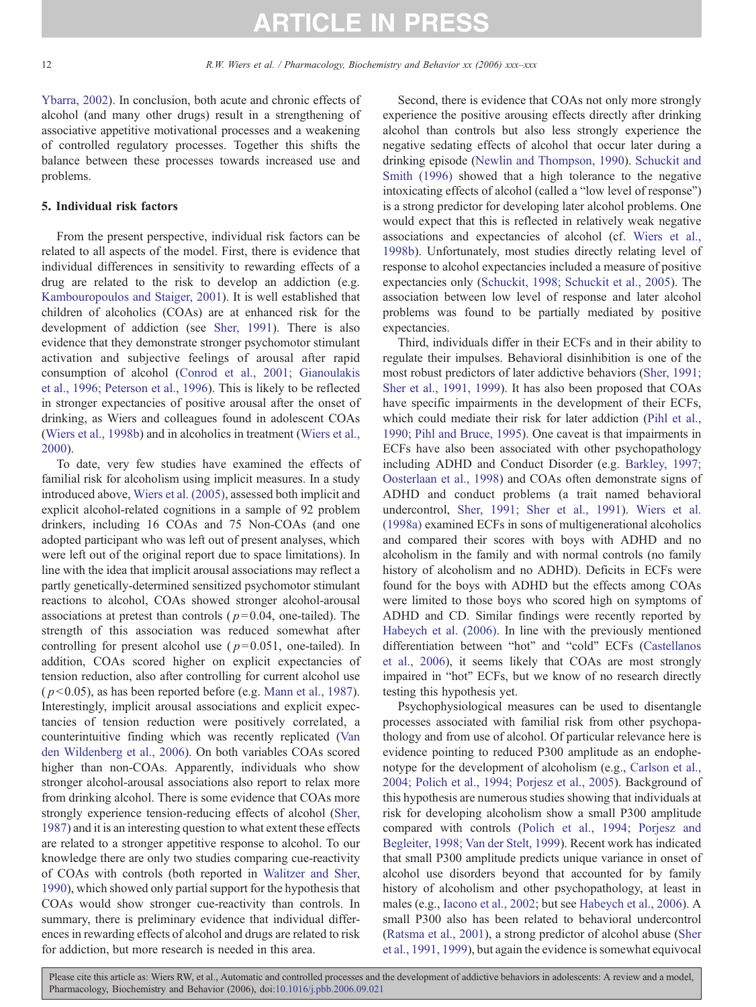[Ybarra, 2002](#page-19-0)). In conclusion, both acute and chronic effects of alcohol (and many other drugs) result in a strengthening of associative appetitive motivational processes and a weakening of controlled regulatory processes. Together this shifts the balance between these processes towards increased use and problems.

#### 5. Individual risk factors

From the present perspective, individual risk factors can be related to all aspects of the model. First, there is evidence that individual differences in sensitivity to rewarding effects of a drug are related to the risk to develop an addiction (e.g. [Kambouropoulos and Staiger, 2001](#page-17-0)). It is well established that children of alcoholics (COAs) are at enhanced risk for the development of addiction (see [Sher, 1991\)](#page-19-0). There is also evidence that they demonstrate stronger psychomotor stimulant activation and subjective feelings of arousal after rapid consumption of alcohol ([Conrod et al., 2001; Gianoulakis](#page-15-0) [et al., 1996; Peterson et al., 1996\)](#page-15-0). This is likely to be reflected in stronger expectancies of positive arousal after the onset of drinking, as Wiers and colleagues found in adolescent COAs ([Wiers et al., 1998b\)](#page-20-0) and in alcoholics in treatment ([Wiers et al.,](#page-20-0) [2000\)](#page-20-0).

To date, very few studies have examined the effects of familial risk for alcoholism using implicit measures. In a study introduced above, [Wiers et al. \(2005\)](#page-20-0), assessed both implicit and explicit alcohol-related cognitions in a sample of 92 problem drinkers, including 16 COAs and 75 Non-COAs (and one adopted participant who was left out of present analyses, which were left out of the original report due to space limitations). In line with the idea that implicit arousal associations may reflect a partly genetically-determined sensitized psychomotor stimulant reactions to alcohol, COAs showed stronger alcohol-arousal associations at pretest than controls ( $p=0.04$ , one-tailed). The strength of this association was reduced somewhat after controlling for present alcohol use ( $p=0.051$ , one-tailed). In addition, COAs scored higher on explicit expectancies of tension reduction, also after controlling for current alcohol use  $(p<0.05)$ , as has been reported before (e.g. [Mann et al., 1987](#page-18-0)). Interestingly, implicit arousal associations and explicit expectancies of tension reduction were positively correlated, a counterintuitive finding which was recently replicated [\(Van](#page-20-0) [den Wildenberg et al., 2006\)](#page-20-0). On both variables COAs scored higher than non-COAs. Apparently, individuals who show stronger alcohol-arousal associations also report to relax more from drinking alcohol. There is some evidence that COAs more strongly experience tension-reducing effects of alcohol ([Sher,](#page-19-0) [1987\)](#page-19-0) and it is an interesting question to what extent these effects are related to a stronger appetitive response to alcohol. To our knowledge there are only two studies comparing cue-reactivity of COAs with controls (both reported in [Walitzer and Sher,](#page-20-0) [1990\)](#page-20-0), which showed only partial support for the hypothesis that COAs would show stronger cue-reactivity than controls. In summary, there is preliminary evidence that individual differences in rewarding effects of alcohol and drugs are related to risk for addiction, but more research is needed in this area.

Second, there is evidence that COAs not only more strongly experience the positive arousing effects directly after drinking alcohol than controls but also less strongly experience the negative sedating effects of alcohol that occur later during a drinking episode ([Newlin and Thompson, 1990](#page-18-0)). [Schuckit and](#page-19-0) [Smith \(1996\)](#page-19-0) showed that a high tolerance to the negative intoxicating effects of alcohol (called a "low level of response") is a strong predictor for developing later alcohol problems. One would expect that this is reflected in relatively weak negative associations and expectancies of alcohol (cf. [Wiers et al.,](#page-20-0) [1998b\)](#page-20-0). Unfortunately, most studies directly relating level of response to alcohol expectancies included a measure of positive expectancies only [\(Schuckit, 1998; Schuckit et al., 2005](#page-19-0)). The association between low level of response and later alcohol problems was found to be partially mediated by positive expectancies.

Third, individuals differ in their ECFs and in their ability to regulate their impulses. Behavioral disinhibition is one of the most robust predictors of later addictive behaviors [\(Sher, 1991;](#page-19-0) [Sher et al., 1991, 1999](#page-19-0)). It has also been proposed that COAs have specific impairments in the development of their ECFs, which could mediate their risk for later addiction [\(Pihl et al.,](#page-18-0) [1990; Pihl and Bruce, 1995](#page-18-0)). One caveat is that impairments in ECFs have also been associated with other psychopathology including ADHD and Conduct Disorder (e.g. [Barkley, 1997;](#page-14-0) [Oosterlaan et al., 1998](#page-14-0)) and COAs often demonstrate signs of ADHD and conduct problems (a trait named behavioral undercontrol, [Sher, 1991; Sher et al., 1991\)](#page-19-0). [Wiers et al.](#page-20-0) [\(1998a\)](#page-20-0) examined ECFs in sons of multigenerational alcoholics and compared their scores with boys with ADHD and no alcoholism in the family and with normal controls (no family history of alcoholism and no ADHD). Deficits in ECFs were found for the boys with ADHD but the effects among COAs were limited to those boys who scored high on symptoms of ADHD and CD. Similar findings were recently reported by [Habeych et al. \(2006\)](#page-16-0). In line with the previously mentioned differentiation between "hot" and "cold" ECFs [\(Castellanos](#page-15-0) [et al., 2006\)](#page-15-0), it seems likely that COAs are most strongly impaired in "hot" ECFs, but we know of no research directly testing this hypothesis yet.

Psychophysiological measures can be used to disentangle processes associated with familial risk from other psychopathology and from use of alcohol. Of particular relevance here is evidence pointing to reduced P300 amplitude as an endophenotype for the development of alcoholism (e.g., [Carlson et al.,](#page-15-0) [2004; Polich et al., 1994; Porjesz et al., 2005](#page-15-0)). Background of this hypothesis are numerous studies showing that individuals at risk for developing alcoholism show a small P300 amplitude compared with controls ([Polich et al., 1994; Porjesz and](#page-18-0) [Begleiter, 1998; Van der Stelt, 1999\)](#page-18-0). Recent work has indicated that small P300 amplitude predicts unique variance in onset of alcohol use disorders beyond that accounted for by family history of alcoholism and other psychopathology, at least in males (e.g., [Iacono et al., 2002;](#page-17-0) but see [Habeych et al., 2006\)](#page-16-0). A small P300 also has been related to behavioral undercontrol ([Ratsma et al., 2001\)](#page-18-0), a strong predictor of alcohol abuse ([Sher](#page-19-0) [et al., 1991, 1999](#page-19-0)), but again the evidence is somewhat equivocal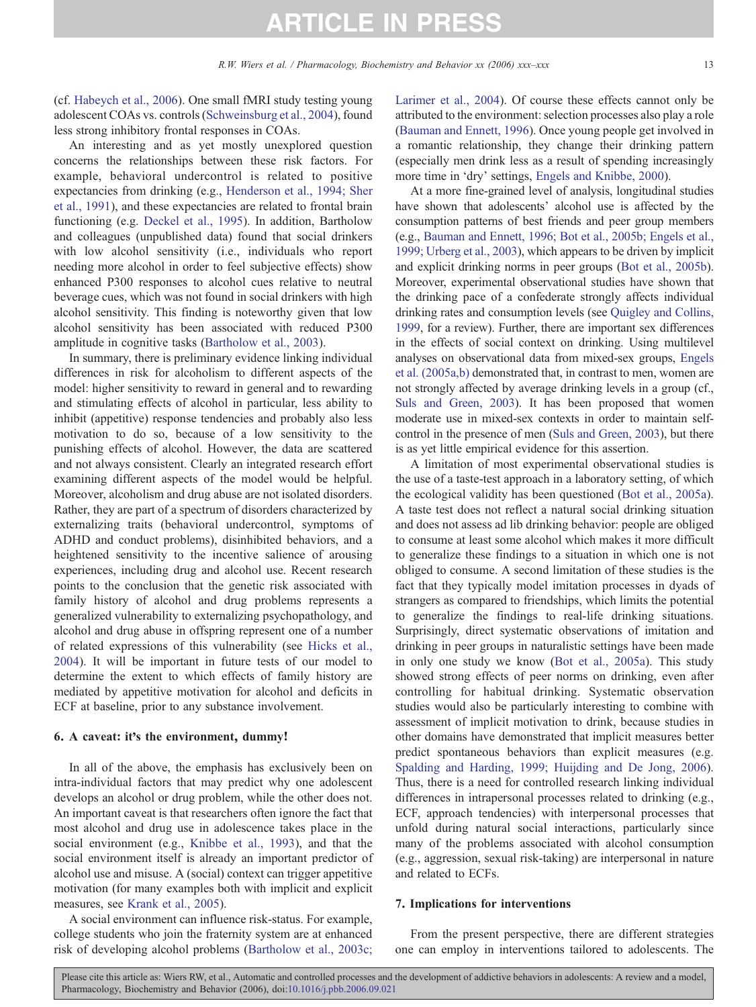(cf. [Habeych et al., 2006](#page-16-0)). One small fMRI study testing young adolescent COAs vs. controls [\(Schweinsburg et al., 2004\)](#page-19-0), found less strong inhibitory frontal responses in COAs.

An interesting and as yet mostly unexplored question concerns the relationships between these risk factors. For example, behavioral undercontrol is related to positive expectancies from drinking (e.g., [Henderson et al., 1994; Sher](#page-17-0) [et al., 1991](#page-17-0)), and these expectancies are related to frontal brain functioning (e.g. [Deckel et al., 1995\)](#page-15-0). In addition, Bartholow and colleagues (unpublished data) found that social drinkers with low alcohol sensitivity (i.e., individuals who report needing more alcohol in order to feel subjective effects) show enhanced P300 responses to alcohol cues relative to neutral beverage cues, which was not found in social drinkers with high alcohol sensitivity. This finding is noteworthy given that low alcohol sensitivity has been associated with reduced P300 amplitude in cognitive tasks [\(Bartholow et al., 2003](#page-14-0)).

In summary, there is preliminary evidence linking individual differences in risk for alcoholism to different aspects of the model: higher sensitivity to reward in general and to rewarding and stimulating effects of alcohol in particular, less ability to inhibit (appetitive) response tendencies and probably also less motivation to do so, because of a low sensitivity to the punishing effects of alcohol. However, the data are scattered and not always consistent. Clearly an integrated research effort examining different aspects of the model would be helpful. Moreover, alcoholism and drug abuse are not isolated disorders. Rather, they are part of a spectrum of disorders characterized by externalizing traits (behavioral undercontrol, symptoms of ADHD and conduct problems), disinhibited behaviors, and a heightened sensitivity to the incentive salience of arousing experiences, including drug and alcohol use. Recent research points to the conclusion that the genetic risk associated with family history of alcohol and drug problems represents a generalized vulnerability to externalizing psychopathology, and alcohol and drug abuse in offspring represent one of a number of related expressions of this vulnerability (see [Hicks et al.,](#page-17-0) [2004](#page-17-0)). It will be important in future tests of our model to determine the extent to which effects of family history are mediated by appetitive motivation for alcohol and deficits in ECF at baseline, prior to any substance involvement.

#### 6. A caveat: it's the environment, dummy!

In all of the above, the emphasis has exclusively been on intra-individual factors that may predict why one adolescent develops an alcohol or drug problem, while the other does not. An important caveat is that researchers often ignore the fact that most alcohol and drug use in adolescence takes place in the social environment (e.g., [Knibbe et al., 1993](#page-17-0)), and that the social environment itself is already an important predictor of alcohol use and misuse. A (social) context can trigger appetitive motivation (for many examples both with implicit and explicit measures, see [Krank et al., 2005](#page-17-0)).

A social environment can influence risk-status. For example, college students who join the fraternity system are at enhanced risk of developing alcohol problems ([Bartholow et al., 2003c;](#page-14-0) [Larimer et al., 2004\)](#page-14-0). Of course these effects cannot only be attributed to the environment: selection processes also play a role ([Bauman and Ennett, 1996\)](#page-14-0). Once young people get involved in a romantic relationship, they change their drinking pattern (especially men drink less as a result of spending increasingly more time in 'dry' settings, [Engels and Knibbe, 2000](#page-16-0)).

At a more fine-grained level of analysis, longitudinal studies have shown that adolescents' alcohol use is affected by the consumption patterns of best friends and peer group members (e.g., [Bauman and Ennett, 1996; Bot et al., 2005b; Engels et al.,](#page-14-0) [1999; Urberg et al., 2003\)](#page-14-0), which appears to be driven by implicit and explicit drinking norms in peer groups [\(Bot et al., 2005b\)](#page-15-0). Moreover, experimental observational studies have shown that the drinking pace of a confederate strongly affects individual drinking rates and consumption levels (see [Quigley and Collins,](#page-18-0) [1999](#page-18-0), for a review). Further, there are important sex differences in the effects of social context on drinking. Using multilevel analyses on observational data from mixed-sex groups, [Engels](#page-16-0) [et al. \(2005a,b\)](#page-16-0) demonstrated that, in contrast to men, women are not strongly affected by average drinking levels in a group (cf., [Suls and Green, 2003\)](#page-19-0). It has been proposed that women moderate use in mixed-sex contexts in order to maintain selfcontrol in the presence of men ([Suls and Green, 2003](#page-19-0)), but there is as yet little empirical evidence for this assertion.

A limitation of most experimental observational studies is the use of a taste-test approach in a laboratory setting, of which the ecological validity has been questioned [\(Bot et al., 2005a\)](#page-15-0). A taste test does not reflect a natural social drinking situation and does not assess ad lib drinking behavior: people are obliged to consume at least some alcohol which makes it more difficult to generalize these findings to a situation in which one is not obliged to consume. A second limitation of these studies is the fact that they typically model imitation processes in dyads of strangers as compared to friendships, which limits the potential to generalize the findings to real-life drinking situations. Surprisingly, direct systematic observations of imitation and drinking in peer groups in naturalistic settings have been made in only one study we know [\(Bot et al., 2005a\)](#page-15-0). This study showed strong effects of peer norms on drinking, even after controlling for habitual drinking. Systematic observation studies would also be particularly interesting to combine with assessment of implicit motivation to drink, because studies in other domains have demonstrated that implicit measures better predict spontaneous behaviors than explicit measures (e.g. [Spalding and Harding, 1999; Huijding and De Jong, 2006\)](#page-19-0). Thus, there is a need for controlled research linking individual differences in intrapersonal processes related to drinking (e.g., ECF, approach tendencies) with interpersonal processes that unfold during natural social interactions, particularly since many of the problems associated with alcohol consumption (e.g., aggression, sexual risk-taking) are interpersonal in nature and related to ECFs.

#### 7. Implications for interventions

From the present perspective, there are different strategies one can employ in interventions tailored to adolescents. The

Please cite this article as: Wiers RW, et al., Automatic and controlled processes and the development of addictive behaviors in adolescents: A review and a model, Pharmacology, Biochemistry and Behavior (2006), doi:[10.1016/j.pbb.2006.09.021](http://dx.doi.org/10.1016/j.pbb.2006.09.021)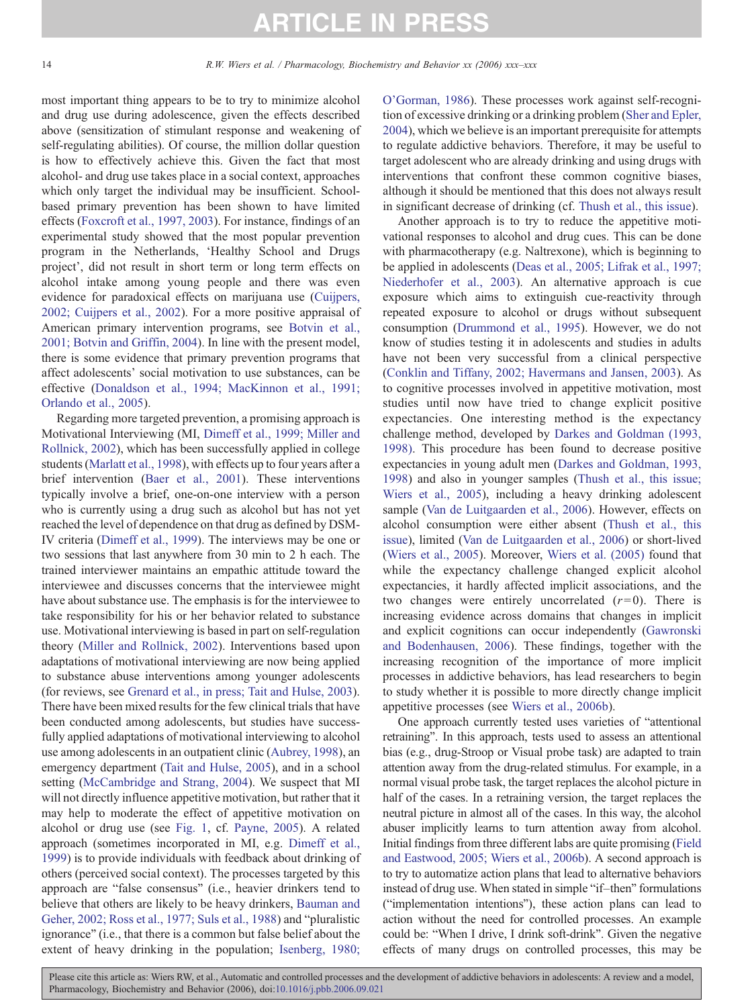most important thing appears to be to try to minimize alcohol and drug use during adolescence, given the effects described above (sensitization of stimulant response and weakening of self-regulating abilities). Of course, the million dollar question is how to effectively achieve this. Given the fact that most alcohol- and drug use takes place in a social context, approaches which only target the individual may be insufficient. Schoolbased primary prevention has been shown to have limited effects [\(Foxcroft et al., 1997, 2003](#page-16-0)). For instance, findings of an experimental study showed that the most popular prevention program in the Netherlands, 'Healthy School and Drugs project', did not result in short term or long term effects on alcohol intake among young people and there was even evidence for paradoxical effects on marijuana use ([Cuijpers,](#page-15-0) [2002; Cuijpers et al., 2002\)](#page-15-0). For a more positive appraisal of American primary intervention programs, see [Botvin et al.,](#page-15-0) [2001; Botvin and Griffin, 2004\)](#page-15-0). In line with the present model, there is some evidence that primary prevention programs that affect adolescents' social motivation to use substances, can be effective [\(Donaldson et al., 1994; MacKinnon et al., 1991;](#page-16-0) [Orlando et al., 2005](#page-16-0)).

Regarding more targeted prevention, a promising approach is Motivational Interviewing (MI, [Dimeff et al., 1999; Miller and](#page-15-0) [Rollnick, 2002\)](#page-15-0), which has been successfully applied in college students [\(Marlatt et al., 1998](#page-18-0)), with effects up to four years after a brief intervention ([Baer et al., 2001](#page-14-0)). These interventions typically involve a brief, one-on-one interview with a person who is currently using a drug such as alcohol but has not yet reached the level of dependence on that drug as defined by DSM-IV criteria ([Dimeff et al., 1999\)](#page-15-0). The interviews may be one or two sessions that last anywhere from 30 min to 2 h each. The trained interviewer maintains an empathic attitude toward the interviewee and discusses concerns that the interviewee might have about substance use. The emphasis is for the interviewee to take responsibility for his or her behavior related to substance use. Motivational interviewing is based in part on self-regulation theory [\(Miller and Rollnick, 2002\)](#page-18-0). Interventions based upon adaptations of motivational interviewing are now being applied to substance abuse interventions among younger adolescents (for reviews, see [Grenard et al., in press; Tait and Hulse, 2003](#page-16-0)). There have been mixed results for the few clinical trials that have been conducted among adolescents, but studies have successfully applied adaptations of motivational interviewing to alcohol use among adolescents in an outpatient clinic [\(Aubrey, 1998\)](#page-14-0), an emergency department ([Tait and Hulse, 2005\)](#page-19-0), and in a school setting ([McCambridge and Strang, 2004\)](#page-18-0). We suspect that MI will not directly influence appetitive motivation, but rather that it may help to moderate the effect of appetitive motivation on alcohol or drug use (see [Fig. 1,](#page-8-0) cf. [Payne, 2005\)](#page-18-0). A related approach (sometimes incorporated in MI, e.g. [Dimeff et al.,](#page-15-0) [1999\)](#page-15-0) is to provide individuals with feedback about drinking of others (perceived social context). The processes targeted by this approach are "false consensus" (i.e., heavier drinkers tend to believe that others are likely to be heavy drinkers, [Bauman and](#page-14-0) [Geher, 2002; Ross et al., 1977; Suls et al., 1988](#page-14-0)) and "pluralistic ignorance" (i.e., that there is a common but false belief about the extent of heavy drinking in the population; [Isenberg, 1980;](#page-17-0)

[O'Gorman, 1986](#page-17-0)). These processes work against self-recognition of excessive drinking or a drinking problem [\(Sher and Epler,](#page-19-0) [2004\)](#page-19-0), which we believe is an important prerequisite for attempts to regulate addictive behaviors. Therefore, it may be useful to target adolescent who are already drinking and using drugs with interventions that confront these common cognitive biases, although it should be mentioned that this does not always result in significant decrease of drinking (cf. [Thush et al., this issue\)](http://dx.doi.org/doi:10.1016/j.pbb.2006.07.023).

Another approach is to try to reduce the appetitive motivational responses to alcohol and drug cues. This can be done with pharmacotherapy (e.g. Naltrexone), which is beginning to be applied in adolescents ([Deas et al., 2005; Lifrak et al., 1997;](#page-15-0) [Niederhofer et al., 2003\)](#page-15-0). An alternative approach is cue exposure which aims to extinguish cue-reactivity through repeated exposure to alcohol or drugs without subsequent consumption [\(Drummond et al., 1995\)](#page-16-0). However, we do not know of studies testing it in adolescents and studies in adults have not been very successful from a clinical perspective ([Conklin and Tiffany, 2002; Havermans and Jansen, 2003](#page-15-0)). As to cognitive processes involved in appetitive motivation, most studies until now have tried to change explicit positive expectancies. One interesting method is the expectancy challenge method, developed by [Darkes and Goldman \(1993,](#page-15-0) [1998\).](#page-15-0) This procedure has been found to decrease positive expectancies in young adult men ([Darkes and Goldman, 1993,](#page-15-0) [1998\)](#page-15-0) and also in younger samples [\(Thush et al., this issue;](http://dx.doi.org/doi:10.1016/j.pbb.2006.07.023) [Wiers et al., 2005\)](http://dx.doi.org/doi:10.1016/j.pbb.2006.07.023), including a heavy drinking adolescent sample ([Van de Luitgaarden et al., 2006](#page-20-0)). However, effects on alcohol consumption were either absent ([Thush et al., this](http://dx.doi.org/doi:10.1016/j.pbb.2006.07.023) [issue](http://dx.doi.org/doi:10.1016/j.pbb.2006.07.023)), limited ([Van de Luitgaarden et al., 2006](#page-20-0)) or short-lived ([Wiers et al., 2005\)](#page-20-0). Moreover, [Wiers et al. \(2005\)](#page-20-0) found that while the expectancy challenge changed explicit alcohol expectancies, it hardly affected implicit associations, and the two changes were entirely uncorrelated  $(r=0)$ . There is increasing evidence across domains that changes in implicit and explicit cognitions can occur independently [\(Gawronski](#page-16-0) [and Bodenhausen, 2006\)](#page-16-0). These findings, together with the increasing recognition of the importance of more implicit processes in addictive behaviors, has lead researchers to begin to study whether it is possible to more directly change implicit appetitive processes (see [Wiers et al., 2006b](#page-20-0)).

One approach currently tested uses varieties of "attentional retraining". In this approach, tests used to assess an attentional bias (e.g., drug-Stroop or Visual probe task) are adapted to train attention away from the drug-related stimulus. For example, in a normal visual probe task, the target replaces the alcohol picture in half of the cases. In a retraining version, the target replaces the neutral picture in almost all of the cases. In this way, the alcohol abuser implicitly learns to turn attention away from alcohol. Initial findings from three different labs are quite promising [\(Field](#page-16-0) [and Eastwood, 2005; Wiers et al., 2006b](#page-16-0)). A second approach is to try to automatize action plans that lead to alternative behaviors instead of drug use. When stated in simple "if–then" formulations ("implementation intentions"), these action plans can lead to action without the need for controlled processes. An example could be: "When I drive, I drink soft-drink". Given the negative effects of many drugs on controlled processes, this may be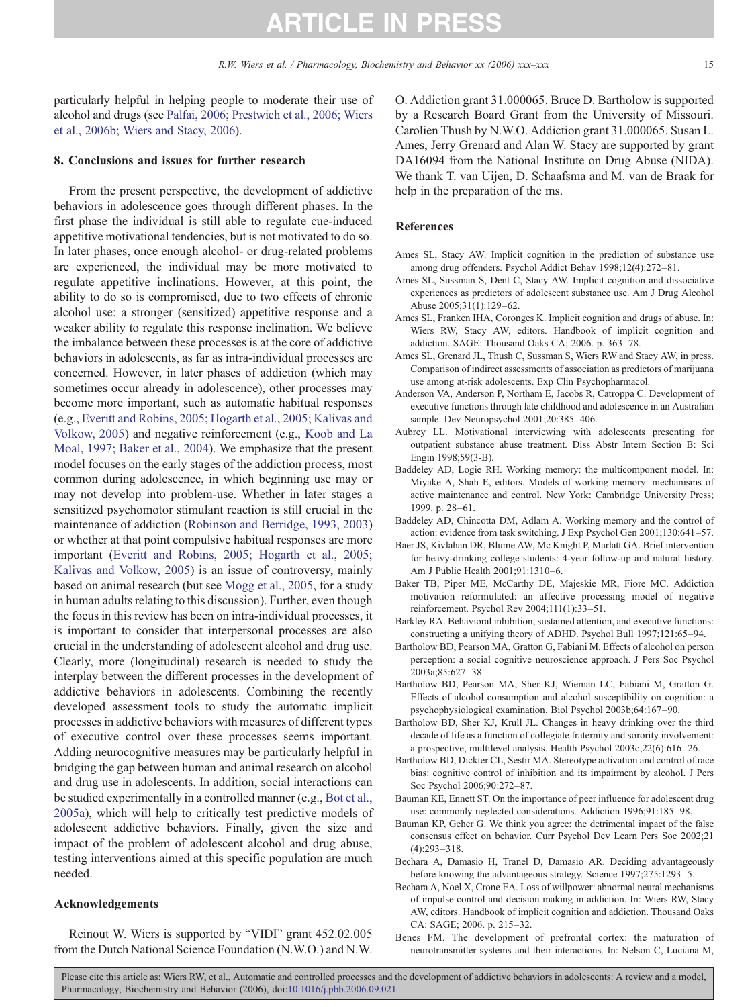<span id="page-14-0"></span>particularly helpful in helping people to moderate their use of alcohol and drugs (see [Palfai, 2006; Prestwich et al., 2006; Wiers](#page-18-0) [et al., 2006b; Wiers and Stacy, 2006](#page-18-0)).

#### 8. Conclusions and issues for further research

From the present perspective, the development of addictive behaviors in adolescence goes through different phases. In the first phase the individual is still able to regulate cue-induced appetitive motivational tendencies, but is not motivated to do so. In later phases, once enough alcohol- or drug-related problems are experienced, the individual may be more motivated to regulate appetitive inclinations. However, at this point, the ability to do so is compromised, due to two effects of chronic alcohol use: a stronger (sensitized) appetitive response and a weaker ability to regulate this response inclination. We believe the imbalance between these processes is at the core of addictive behaviors in adolescents, as far as intra-individual processes are concerned. However, in later phases of addiction (which may sometimes occur already in adolescence), other processes may become more important, such as automatic habitual responses (e.g., [Everitt and Robins, 2005; Hogarth et al., 2005; Kalivas and](#page-16-0) [Volkow, 2005](#page-16-0)) and negative reinforcement (e.g., [Koob and La](#page-17-0) [Moal, 1997; Baker et al., 2004\)](#page-17-0). We emphasize that the present model focuses on the early stages of the addiction process, most common during adolescence, in which beginning use may or may not develop into problem-use. Whether in later stages a sensitized psychomotor stimulant reaction is still crucial in the maintenance of addiction [\(Robinson and Berridge, 1993, 2003](#page-19-0)) or whether at that point compulsive habitual responses are more important [\(Everitt and Robins, 2005; Hogarth et al., 2005;](#page-16-0) [Kalivas and Volkow, 2005\)](#page-16-0) is an issue of controversy, mainly based on animal research (but see [Mogg et al., 2005,](#page-18-0) for a study in human adults relating to this discussion). Further, even though the focus in this review has been on intra-individual processes, it is important to consider that interpersonal processes are also crucial in the understanding of adolescent alcohol and drug use. Clearly, more (longitudinal) research is needed to study the interplay between the different processes in the development of addictive behaviors in adolescents. Combining the recently developed assessment tools to study the automatic implicit processes in addictive behaviors with measures of different types of executive control over these processes seems important. Adding neurocognitive measures may be particularly helpful in bridging the gap between human and animal research on alcohol and drug use in adolescents. In addition, social interactions can be studied experimentally in a controlled manner (e.g., [Bot et al.,](#page-15-0) [2005a\)](#page-15-0), which will help to critically test predictive models of adolescent addictive behaviors. Finally, given the size and impact of the problem of adolescent alcohol and drug abuse, testing interventions aimed at this specific population are much needed.

#### Acknowledgements

Reinout W. Wiers is supported by "VIDI" grant 452.02.005 from the Dutch National Science Foundation (N.W.O.) and N.W. O. Addiction grant 31.000065. Bruce D. Bartholow is supported by a Research Board Grant from the University of Missouri. Carolien Thush by N.W.O. Addiction grant 31.000065. Susan L. Ames, Jerry Grenard and Alan W. Stacy are supported by grant DA16094 from the National Institute on Drug Abuse (NIDA). We thank T. van Uijen, D. Schaafsma and M. van de Braak for help in the preparation of the ms.

#### References

- Ames SL, Stacy AW. Implicit cognition in the prediction of substance use among drug offenders. Psychol Addict Behav 1998;12(4):272–81.
- Ames SL, Sussman S, Dent C, Stacy AW. Implicit cognition and dissociative experiences as predictors of adolescent substance use. Am J Drug Alcohol Abuse 2005;31(1):129–62.
- Ames SL, Franken IHA, Coronges K. Implicit cognition and drugs of abuse. In: Wiers RW, Stacy AW, editors. Handbook of implicit cognition and addiction. SAGE: Thousand Oaks CA; 2006. p. 363–78.
- Ames SL, Grenard JL, Thush C, Sussman S, Wiers RW and Stacy AW, in press. Comparison of indirect assessments of association as predictors of marijuana use among at-risk adolescents. Exp Clin Psychopharmacol.
- Anderson VA, Anderson P, Northam E, Jacobs R, Catroppa C. Development of executive functions through late childhood and adolescence in an Australian sample. Dev Neuropsychol 2001;20:385–406.
- Aubrey LL. Motivational interviewing with adolescents presenting for outpatient substance abuse treatment. Diss Abstr Intern Section B: Sci Engin 1998;59(3-B).
- Baddeley AD, Logie RH. Working memory: the multicomponent model. In: Miyake A, Shah E, editors. Models of working memory: mechanisms of active maintenance and control. New York: Cambridge University Press; 1999. p. 28–61.
- Baddeley AD, Chincotta DM, Adlam A. Working memory and the control of action: evidence from task switching. J Exp Psychol Gen 2001;130:641–57.
- Baer JS, Kivlahan DR, Blume AW, Mc Knight P, Marlatt GA. Brief intervention for heavy-drinking college students: 4-year follow-up and natural history. Am J Public Health 2001;91:1310–6.
- Baker TB, Piper ME, McCarthy DE, Majeskie MR, Fiore MC. Addiction motivation reformulated: an affective processing model of negative reinforcement. Psychol Rev 2004;111(1):33–51.
- Barkley RA. Behavioral inhibition, sustained attention, and executive functions: constructing a unifying theory of ADHD. Psychol Bull 1997;121:65–94.
- Bartholow BD, Pearson MA, Gratton G, Fabiani M. Effects of alcohol on person perception: a social cognitive neuroscience approach. J Pers Soc Psychol 2003a;85:627–38.
- Bartholow BD, Pearson MA, Sher KJ, Wieman LC, Fabiani M, Gratton G. Effects of alcohol consumption and alcohol susceptibility on cognition: a psychophysiological examination. Biol Psychol 2003b;64:167–90.
- Bartholow BD, Sher KJ, Krull JL. Changes in heavy drinking over the third decade of life as a function of collegiate fraternity and sorority involvement: a prospective, multilevel analysis. Health Psychol 2003c;22(6):616–26.
- Bartholow BD, Dickter CL, Sestir MA. Stereotype activation and control of race bias: cognitive control of inhibition and its impairment by alcohol. J Pers Soc Psychol 2006;90:272–87.
- Bauman KE, Ennett ST. On the importance of peer influence for adolescent drug use: commonly neglected considerations. Addiction 1996;91:185–98.
- Bauman KP, Geher G. We think you agree: the detrimental impact of the false consensus effect on behavior. Curr Psychol Dev Learn Pers Soc 2002;21 (4):293–318.
- Bechara A, Damasio H, Tranel D, Damasio AR. Deciding advantageously before knowing the advantageous strategy. Science 1997;275:1293–5.
- Bechara A, Noel X, Crone EA. Loss of willpower: abnormal neural mechanisms of impulse control and decision making in addiction. In: Wiers RW, Stacy AW, editors. Handbook of implicit cognition and addiction. Thousand Oaks CA: SAGE; 2006. p. 215–32.
- Benes FM. The development of prefrontal cortex: the maturation of neurotransmitter systems and their interactions. In: Nelson C, Luciana M,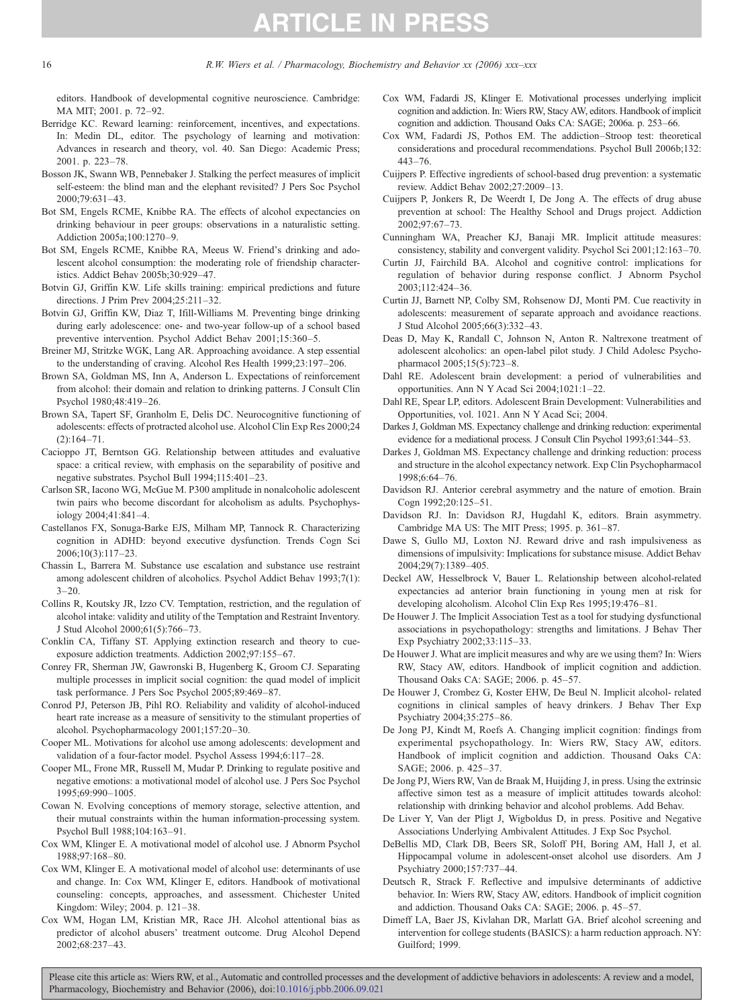editors. Handbook of developmental cognitive neuroscience. Cambridge: MA MIT; 2001. p. 72–92.

- Berridge KC. Reward learning: reinforcement, incentives, and expectations. In: Medin DL, editor. The psychology of learning and motivation: Advances in research and theory, vol. 40. San Diego: Academic Press; 2001. p. 223–78.
- Bosson JK, Swann WB, Pennebaker J. Stalking the perfect measures of implicit self-esteem: the blind man and the elephant revisited? J Pers Soc Psychol  $2000 \cdot 79 \cdot 631 - 43$
- Bot SM, Engels RCME, Knibbe RA. The effects of alcohol expectancies on drinking behaviour in peer groups: observations in a naturalistic setting. Addiction 2005a;100:1270–9.
- Bot SM, Engels RCME, Knibbe RA, Meeus W. Friend's drinking and adolescent alcohol consumption: the moderating role of friendship characteristics. Addict Behav 2005b;30:929–47.
- Botvin GJ, Griffin KW. Life skills training: empirical predictions and future directions. J Prim Prev 2004;25:211–32.
- Botvin GJ, Griffin KW, Diaz T, Ifill-Williams M. Preventing binge drinking during early adolescence: one- and two-year follow-up of a school based preventive intervention. Psychol Addict Behav 2001;15:360–5.
- Breiner MJ, Stritzke WGK, Lang AR. Approaching avoidance. A step essential to the understanding of craving. Alcohol Res Health 1999;23:197–206.
- Brown SA, Goldman MS, Inn A, Anderson L. Expectations of reinforcement from alcohol: their domain and relation to drinking patterns. J Consult Clin Psychol 1980;48:419–26.
- Brown SA, Tapert SF, Granholm E, Delis DC. Neurocognitive functioning of adolescents: effects of protracted alcohol use. Alcohol Clin Exp Res 2000;24  $(2)$ :164–71.
- Cacioppo JT, Berntson GG. Relationship between attitudes and evaluative space: a critical review, with emphasis on the separability of positive and negative substrates. Psychol Bull 1994;115:401–23.
- Carlson SR, Iacono WG, McGue M. P300 amplitude in nonalcoholic adolescent twin pairs who become discordant for alcoholism as adults. Psychophysiology 2004;41:841–4.
- Castellanos FX, Sonuga-Barke EJS, Milham MP, Tannock R. Characterizing cognition in ADHD: beyond executive dysfunction. Trends Cogn Sci 2006;10(3):117–23.
- Chassin L, Barrera M. Substance use escalation and substance use restraint among adolescent children of alcoholics. Psychol Addict Behav 1993;7(1):  $3 - 20.$
- Collins R, Koutsky JR, Izzo CV. Temptation, restriction, and the regulation of alcohol intake: validity and utility of the Temptation and Restraint Inventory. J Stud Alcohol 2000;61(5):766–73.
- Conklin CA, Tiffany ST. Applying extinction research and theory to cueexposure addiction treatments. Addiction 2002;97:155–67.
- Conrey FR, Sherman JW, Gawronski B, Hugenberg K, Groom CJ. Separating multiple processes in implicit social cognition: the quad model of implicit task performance. J Pers Soc Psychol 2005;89:469–87.
- Conrod PJ, Peterson JB, Pihl RO. Reliability and validity of alcohol-induced heart rate increase as a measure of sensitivity to the stimulant properties of alcohol. Psychopharmacology 2001;157:20–30.
- Cooper ML. Motivations for alcohol use among adolescents: development and validation of a four-factor model. Psychol Assess 1994;6:117–28.
- Cooper ML, Frone MR, Russell M, Mudar P. Drinking to regulate positive and negative emotions: a motivational model of alcohol use. J Pers Soc Psychol 1995;69:990–1005.
- Cowan N. Evolving conceptions of memory storage, selective attention, and their mutual constraints within the human information-processing system. Psychol Bull 1988;104:163–91.
- Cox WM, Klinger E. A motivational model of alcohol use. J Abnorm Psychol 1988;97:168–80.
- Cox WM, Klinger E. A motivational model of alcohol use: determinants of use and change. In: Cox WM, Klinger E, editors. Handbook of motivational counseling: concepts, approaches, and assessment. Chichester United Kingdom: Wiley; 2004. p. 121–38.
- Cox WM, Hogan LM, Kristian MR, Race JH. Alcohol attentional bias as predictor of alcohol abusers' treatment outcome. Drug Alcohol Depend 2002;68:237–43.
- Cox WM, Fadardi JS, Klinger E. Motivational processes underlying implicit cognition and addiction. In: Wiers RW, Stacy AW, editors. Handbook of implicit cognition and addiction. Thousand Oaks CA: SAGE; 2006a. p. 253–66.
- Cox WM, Fadardi JS, Pothos EM. The addiction–Stroop test: theoretical considerations and procedural recommendations. Psychol Bull 2006b;132: 443–76.
- Cuijpers P. Effective ingredients of school-based drug prevention: a systematic review. Addict Behav 2002;27:2009–13.
- Cuijpers P, Jonkers R, De Weerdt I, De Jong A. The effects of drug abuse prevention at school: The Healthy School and Drugs project. Addiction 2002;97:67–73.
- Cunningham WA, Preacher KJ, Banaji MR. Implicit attitude measures: consistency, stability and convergent validity. Psychol Sci 2001;12:163–70.
- Curtin JJ, Fairchild BA. Alcohol and cognitive control: implications for regulation of behavior during response conflict. J Abnorm Psychol 2003;112:424–36.
- Curtin JJ, Barnett NP, Colby SM, Rohsenow DJ, Monti PM. Cue reactivity in adolescents: measurement of separate approach and avoidance reactions. J Stud Alcohol 2005;66(3):332–43.
- Deas D, May K, Randall C, Johnson N, Anton R. Naltrexone treatment of adolescent alcoholics: an open-label pilot study. J Child Adolesc Psychopharmacol 2005;15(5):723–8.
- Dahl RE. Adolescent brain development: a period of vulnerabilities and opportunities. Ann N Y Acad Sci 2004;1021:1–22.
- Dahl RE, Spear LP, editors. Adolescent Brain Development: Vulnerabilities and Opportunities, vol. 1021. Ann N Y Acad Sci; 2004.
- Darkes J, Goldman MS. Expectancy challenge and drinking reduction: experimental evidence for a mediational process. J Consult Clin Psychol 1993;61:344–53.
- Darkes J, Goldman MS. Expectancy challenge and drinking reduction: process and structure in the alcohol expectancy network. Exp Clin Psychopharmacol 1998;6:64–76.
- Davidson RJ. Anterior cerebral asymmetry and the nature of emotion. Brain Cogn 1992;20:125–51.
- Davidson RJ. In: Davidson RJ, Hugdahl K, editors. Brain asymmetry. Cambridge MA US: The MIT Press; 1995. p. 361–87.
- Dawe S, Gullo MJ, Loxton NJ. Reward drive and rash impulsiveness as dimensions of impulsivity: Implications for substance misuse. Addict Behav 2004;29(7):1389–405.
- Deckel AW, Hesselbrock V, Bauer L. Relationship between alcohol-related expectancies ad anterior brain functioning in young men at risk for developing alcoholism. Alcohol Clin Exp Res 1995;19:476–81.
- De Houwer J. The Implicit Association Test as a tool for studying dysfunctional associations in psychopathology: strengths and limitations. J Behav Ther Exp Psychiatry 2002;33:115–33.
- De Houwer J. What are implicit measures and why are we using them? In: Wiers RW, Stacy AW, editors. Handbook of implicit cognition and addiction. Thousand Oaks CA: SAGE; 2006. p. 45–57.
- De Houwer J, Crombez G, Koster EHW, De Beul N. Implicit alcohol- related cognitions in clinical samples of heavy drinkers. J Behav Ther Exp Psychiatry 2004;35:275–86.
- De Jong PJ, Kindt M, Roefs A. Changing implicit cognition: findings from experimental psychopathology. In: Wiers RW, Stacy AW, editors. Handbook of implicit cognition and addiction. Thousand Oaks CA: SAGE; 2006. p. 425–37.
- De Jong PJ, Wiers RW, Van de Braak M, Huijding J, in press. Using the extrinsic affective simon test as a measure of implicit attitudes towards alcohol: relationship with drinking behavior and alcohol problems. Add Behav.
- De Liver Y, Van der Pligt J, Wigboldus D, in press. Positive and Negative Associations Underlying Ambivalent Attitudes. J Exp Soc Psychol.
- DeBellis MD, Clark DB, Beers SR, Soloff PH, Boring AM, Hall J, et al. Hippocampal volume in adolescent-onset alcohol use disorders. Am J Psychiatry 2000;157:737–44.
- Deutsch R, Strack F. Reflective and impulsive determinants of addictive behavior. In: Wiers RW, Stacy AW, editors. Handbook of implicit cognition and addiction. Thousand Oaks CA: SAGE; 2006. p. 45–57.
- Dimeff LA, Baer JS, Kivlahan DR, Marlatt GA. Brief alcohol screening and intervention for college students (BASICS): a harm reduction approach. NY: Guilford; 1999.

<span id="page-15-0"></span>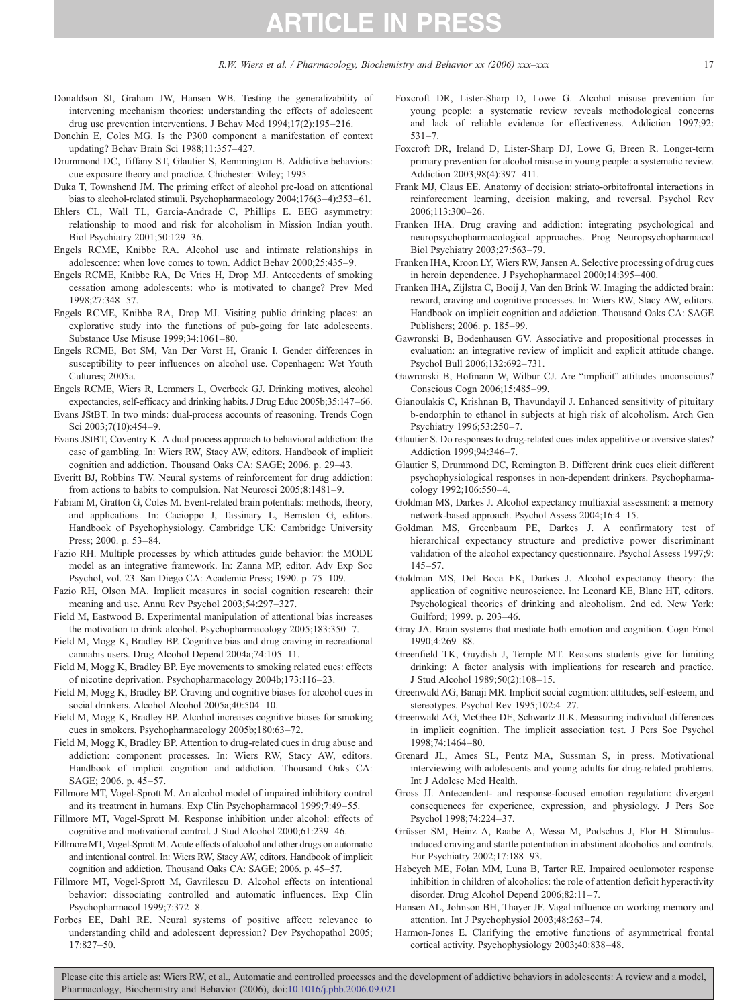- <span id="page-16-0"></span>Donaldson SI, Graham JW, Hansen WB. Testing the generalizability of intervening mechanism theories: understanding the effects of adolescent drug use prevention interventions. J Behav Med 1994;17(2):195–216.
- Donchin E, Coles MG. Is the P300 component a manifestation of context updating? Behav Brain Sci 1988;11:357–427.
- Drummond DC, Tiffany ST, Glautier S, Remmington B. Addictive behaviors: cue exposure theory and practice. Chichester: Wiley; 1995.
- Duka T, Townshend JM. The priming effect of alcohol pre-load on attentional bias to alcohol-related stimuli. Psychopharmacology 2004;176(3–4):353–61.
- Ehlers CL, Wall TL, Garcia-Andrade C, Phillips E. EEG asymmetry: relationship to mood and risk for alcoholism in Mission Indian youth. Biol Psychiatry 2001;50:129–36.
- Engels RCME, Knibbe RA. Alcohol use and intimate relationships in adolescence: when love comes to town. Addict Behav 2000;25:435–9.
- Engels RCME, Knibbe RA, De Vries H, Drop MJ. Antecedents of smoking cessation among adolescents: who is motivated to change? Prev Med 1998;27:348–57.
- Engels RCME, Knibbe RA, Drop MJ. Visiting public drinking places: an explorative study into the functions of pub-going for late adolescents. Substance Use Misuse 1999;34:1061–80.
- Engels RCME, Bot SM, Van Der Vorst H, Granic I. Gender differences in susceptibility to peer influences on alcohol use. Copenhagen: Wet Youth Cultures; 2005a.
- Engels RCME, Wiers R, Lemmers L, Overbeek GJ. Drinking motives, alcohol expectancies, self-efficacy and drinking habits. J Drug Educ 2005b;35:147–66.
- Evans JStBT. In two minds: dual-process accounts of reasoning. Trends Cogn Sci 2003:7(10):454-9.
- Evans JStBT, Coventry K. A dual process approach to behavioral addiction: the case of gambling. In: Wiers RW, Stacy AW, editors. Handbook of implicit cognition and addiction. Thousand Oaks CA: SAGE; 2006. p. 29–43.
- Everitt BJ, Robbins TW. Neural systems of reinforcement for drug addiction: from actions to habits to compulsion. Nat Neurosci 2005;8:1481–9.
- Fabiani M, Gratton G, Coles M. Event-related brain potentials: methods, theory, and applications. In: Cacioppo J, Tassinary L, Bernston G, editors. Handbook of Psychophysiology. Cambridge UK: Cambridge University Press; 2000. p. 53–84.
- Fazio RH. Multiple processes by which attitudes guide behavior: the MODE model as an integrative framework. In: Zanna MP, editor. Adv Exp Soc Psychol, vol. 23. San Diego CA: Academic Press; 1990. p. 75–109.
- Fazio RH, Olson MA. Implicit measures in social cognition research: their meaning and use. Annu Rev Psychol 2003;54:297–327.
- Field M, Eastwood B. Experimental manipulation of attentional bias increases the motivation to drink alcohol. Psychopharmacology 2005;183:350–7.
- Field M, Mogg K, Bradley BP. Cognitive bias and drug craving in recreational cannabis users. Drug Alcohol Depend 2004a;74:105–11.
- Field M, Mogg K, Bradley BP. Eye movements to smoking related cues: effects of nicotine deprivation. Psychopharmacology 2004b;173:116–23.
- Field M, Mogg K, Bradley BP. Craving and cognitive biases for alcohol cues in social drinkers. Alcohol Alcohol 2005a;40:504–10.
- Field M, Mogg K, Bradley BP. Alcohol increases cognitive biases for smoking cues in smokers. Psychopharmacology 2005b;180:63–72.
- Field M, Mogg K, Bradley BP. Attention to drug-related cues in drug abuse and addiction: component processes. In: Wiers RW, Stacy AW, editors. Handbook of implicit cognition and addiction. Thousand Oaks CA: SAGE; 2006. p. 45–57.
- Fillmore MT, Vogel-Sprott M. An alcohol model of impaired inhibitory control and its treatment in humans. Exp Clin Psychopharmacol 1999;7:49–55.
- Fillmore MT, Vogel-Sprott M. Response inhibition under alcohol: effects of cognitive and motivational control. J Stud Alcohol 2000;61:239–46.
- Fillmore MT, Vogel-Sprott M. Acute effects of alcohol and other drugs on automatic and intentional control. In: Wiers RW, Stacy AW, editors. Handbook of implicit cognition and addiction. Thousand Oaks CA: SAGE; 2006. p. 45–57.
- Fillmore MT, Vogel-Sprott M, Gavrilescu D. Alcohol effects on intentional behavior: dissociating controlled and automatic influences. Exp Clin Psychopharmacol 1999;7:372–8.
- Forbes EE, Dahl RE. Neural systems of positive affect: relevance to understanding child and adolescent depression? Dev Psychopathol 2005; 17:827–50.
- Foxcroft DR, Lister-Sharp D, Lowe G. Alcohol misuse prevention for young people: a systematic review reveals methodological concerns and lack of reliable evidence for effectiveness. Addiction 1997;92: 531–7.
- Foxcroft DR, Ireland D, Lister-Sharp DJ, Lowe G, Breen R. Longer-term primary prevention for alcohol misuse in young people: a systematic review. Addiction 2003;98(4):397–411.
- Frank MJ, Claus EE. Anatomy of decision: striato-orbitofrontal interactions in reinforcement learning, decision making, and reversal. Psychol Rev 2006;113:300–26.
- Franken IHA. Drug craving and addiction: integrating psychological and neuropsychopharmacological approaches. Prog Neuropsychopharmacol Biol Psychiatry 2003;27:563–79.
- Franken IHA, Kroon LY, Wiers RW, Jansen A. Selective processing of drug cues in heroin dependence. J Psychopharmacol 2000;14:395–400.
- Franken IHA, Zijlstra C, Booij J, Van den Brink W. Imaging the addicted brain: reward, craving and cognitive processes. In: Wiers RW, Stacy AW, editors. Handbook on implicit cognition and addiction. Thousand Oaks CA: SAGE Publishers; 2006. p. 185–99.
- Gawronski B, Bodenhausen GV. Associative and propositional processes in evaluation: an integrative review of implicit and explicit attitude change. Psychol Bull 2006;132:692–731.
- Gawronski B, Hofmann W, Wilbur CJ. Are "implicit" attitudes unconscious? Conscious Cogn 2006;15:485–99.
- Gianoulakis C, Krishnan B, Thavundayil J. Enhanced sensitivity of pituitary b-endorphin to ethanol in subjects at high risk of alcoholism. Arch Gen Psychiatry 1996;53:250–7.
- Glautier S. Do responses to drug-related cues index appetitive or aversive states? Addiction 1999;94:346–7.
- Glautier S, Drummond DC, Remington B. Different drink cues elicit different psychophysiological responses in non-dependent drinkers. Psychopharmacology 1992;106:550–4.
- Goldman MS, Darkes J. Alcohol expectancy multiaxial assessment: a memory network-based approach. Psychol Assess 2004;16:4–15.
- Goldman MS, Greenbaum PE, Darkes J. A confirmatory test of hierarchical expectancy structure and predictive power discriminant validation of the alcohol expectancy questionnaire. Psychol Assess 1997;9: 145–57.
- Goldman MS, Del Boca FK, Darkes J. Alcohol expectancy theory: the application of cognitive neuroscience. In: Leonard KE, Blane HT, editors. Psychological theories of drinking and alcoholism. 2nd ed. New York: Guilford; 1999. p. 203–46.
- Gray JA. Brain systems that mediate both emotion and cognition. Cogn Emot 1990;4:269–88.
- Greenfield TK, Guydish J, Temple MT. Reasons students give for limiting drinking: A factor analysis with implications for research and practice. J Stud Alcohol 1989;50(2):108–15.
- Greenwald AG, Banaji MR. Implicit social cognition: attitudes, self-esteem, and stereotypes. Psychol Rev 1995;102:4–27.
- Greenwald AG, McGhee DE, Schwartz JLK. Measuring individual differences in implicit cognition. The implicit association test. J Pers Soc Psychol 1998;74:1464–80.
- Grenard JL, Ames SL, Pentz MA, Sussman S, in press. Motivational interviewing with adolescents and young adults for drug-related problems. Int J Adolesc Med Health.
- Gross JJ. Antecendent- and response-focused emotion regulation: divergent consequences for experience, expression, and physiology. J Pers Soc Psychol 1998;74:224–37.
- Grüsser SM, Heinz A, Raabe A, Wessa M, Podschus J, Flor H. Stimulusinduced craving and startle potentiation in abstinent alcoholics and controls. Eur Psychiatry 2002;17:188–93.
- Habeych ME, Folan MM, Luna B, Tarter RE. Impaired oculomotor response inhibition in children of alcoholics: the role of attention deficit hyperactivity disorder. Drug Alcohol Depend 2006;82:11–7.
- Hansen AL, Johnson BH, Thayer JF. Vagal influence on working memory and attention. Int J Psychophysiol 2003;48:263–74.
- Harmon-Jones E. Clarifying the emotive functions of asymmetrical frontal cortical activity. Psychophysiology 2003;40:838–48.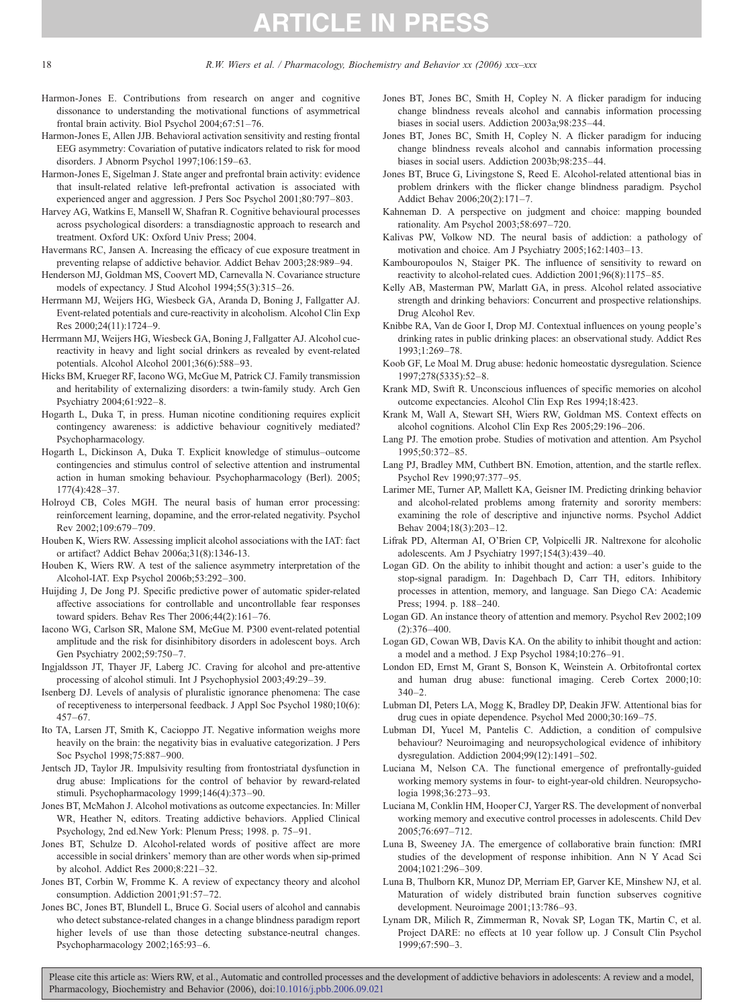- <span id="page-17-0"></span>Harmon-Jones E. Contributions from research on anger and cognitive dissonance to understanding the motivational functions of asymmetrical frontal brain activity. Biol Psychol 2004;67:51–76.
- Harmon-Jones E, Allen JJB. Behavioral activation sensitivity and resting frontal EEG asymmetry: Covariation of putative indicators related to risk for mood disorders. J Abnorm Psychol 1997;106:159–63.
- Harmon-Jones E, Sigelman J. State anger and prefrontal brain activity: evidence that insult-related relative left-prefrontal activation is associated with experienced anger and aggression. J Pers Soc Psychol 2001;80:797–803.
- Harvey AG, Watkins E, Mansell W, Shafran R. Cognitive behavioural processes across psychological disorders: a transdiagnostic approach to research and treatment. Oxford UK: Oxford Univ Press; 2004.
- Havermans RC, Jansen A. Increasing the efficacy of cue exposure treatment in preventing relapse of addictive behavior. Addict Behav 2003;28:989–94.
- Henderson MJ, Goldman MS, Coovert MD, Carnevalla N. Covariance structure models of expectancy. J Stud Alcohol 1994;55(3):315–26.
- Herrmann MJ, Weijers HG, Wiesbeck GA, Aranda D, Boning J, Fallgatter AJ. Event-related potentials and cure-reactivity in alcoholism. Alcohol Clin Exp Res 2000;24(11):1724–9.
- Herrmann MJ, Weijers HG, Wiesbeck GA, Boning J, Fallgatter AJ. Alcohol cuereactivity in heavy and light social drinkers as revealed by event-related potentials. Alcohol Alcohol 2001;36(6):588–93.
- Hicks BM, Krueger RF, Iacono WG, McGue M, Patrick CJ. Family transmission and heritability of externalizing disorders: a twin-family study. Arch Gen Psychiatry 2004;61:922–8.
- Hogarth L, Duka T, in press. Human nicotine conditioning requires explicit contingency awareness: is addictive behaviour cognitively mediated? Psychopharmacology.
- Hogarth L, Dickinson A, Duka T. Explicit knowledge of stimulus–outcome contingencies and stimulus control of selective attention and instrumental action in human smoking behaviour. Psychopharmacology (Berl). 2005; 177(4):428–37.
- Holroyd CB, Coles MGH. The neural basis of human error processing: reinforcement learning, dopamine, and the error-related negativity. Psychol Rev 2002;109:679–709.
- Houben K, Wiers RW. Assessing implicit alcohol associations with the IAT: fact or artifact? Addict Behav 2006a;31(8):1346-13.
- Houben K, Wiers RW. A test of the salience asymmetry interpretation of the Alcohol-IAT. Exp Psychol 2006b;53:292–300.
- Huijding J, De Jong PJ. Specific predictive power of automatic spider-related affective associations for controllable and uncontrollable fear responses toward spiders. Behav Res Ther 2006;44(2):161–76.
- Iacono WG, Carlson SR, Malone SM, McGue M. P300 event-related potential amplitude and the risk for disinhibitory disorders in adolescent boys. Arch Gen Psychiatry 2002;59:750–7.
- Ingjaldsson JT, Thayer JF, Laberg JC. Craving for alcohol and pre-attentive processing of alcohol stimuli. Int J Psychophysiol 2003;49:29–39.
- Isenberg DJ. Levels of analysis of pluralistic ignorance phenomena: The case of receptiveness to interpersonal feedback. J Appl Soc Psychol 1980;10(6): 457–67.
- Ito TA, Larsen JT, Smith K, Cacioppo JT. Negative information weighs more heavily on the brain: the negativity bias in evaluative categorization. J Pers Soc Psychol 1998;75:887–900.
- Jentsch JD, Taylor JR. Impulsivity resulting from frontostriatal dysfunction in drug abuse: Implications for the control of behavior by reward-related stimuli. Psychopharmacology 1999;146(4):373–90.
- Jones BT, McMahon J. Alcohol motivations as outcome expectancies. In: Miller WR, Heather N, editors. Treating addictive behaviors. Applied Clinical Psychology, 2nd ed.New York: Plenum Press; 1998. p. 75–91.
- Jones BT, Schulze D. Alcohol-related words of positive affect are more accessible in social drinkers' memory than are other words when sip-primed by alcohol. Addict Res 2000;8:221–32.
- Jones BT, Corbin W, Fromme K. A review of expectancy theory and alcohol consumption. Addiction 2001;91:57–72.
- Jones BC, Jones BT, Blundell L, Bruce G. Social users of alcohol and cannabis who detect substance-related changes in a change blindness paradigm report higher levels of use than those detecting substance-neutral changes. Psychopharmacology 2002;165:93–6.
- Jones BT, Jones BC, Smith H, Copley N. A flicker paradigm for inducing change blindness reveals alcohol and cannabis information processing biases in social users. Addiction 2003a;98:235–44.
- Jones BT, Jones BC, Smith H, Copley N. A flicker paradigm for inducing change blindness reveals alcohol and cannabis information processing biases in social users. Addiction 2003b;98:235–44.
- Jones BT, Bruce G, Livingstone S, Reed E. Alcohol-related attentional bias in problem drinkers with the flicker change blindness paradigm. Psychol Addict Behav 2006;20(2):171–7.
- Kahneman D. A perspective on judgment and choice: mapping bounded rationality. Am Psychol 2003;58:697–720.
- Kalivas PW, Volkow ND. The neural basis of addiction: a pathology of motivation and choice. Am J Psychiatry 2005;162:1403–13.
- Kambouropoulos N, Staiger PK. The influence of sensitivity to reward on reactivity to alcohol-related cues. Addiction 2001;96(8):1175–85.
- Kelly AB, Masterman PW, Marlatt GA, in press. Alcohol related associative strength and drinking behaviors: Concurrent and prospective relationships. Drug Alcohol Rev.
- Knibbe RA, Van de Goor I, Drop MJ. Contextual influences on young people's drinking rates in public drinking places: an observational study. Addict Res 1993;1:269–78.
- Koob GF, Le Moal M. Drug abuse: hedonic homeostatic dysregulation. Science 1997;278(5335):52–8.
- Krank MD, Swift R. Unconscious influences of specific memories on alcohol outcome expectancies. Alcohol Clin Exp Res 1994;18:423.
- Krank M, Wall A, Stewart SH, Wiers RW, Goldman MS. Context effects on alcohol cognitions. Alcohol Clin Exp Res 2005;29:196–206.
- Lang PJ. The emotion probe. Studies of motivation and attention. Am Psychol 1995;50:372–85.
- Lang PJ, Bradley MM, Cuthbert BN. Emotion, attention, and the startle reflex. Psychol Rev 1990;97:377–95.
- Larimer ME, Turner AP, Mallett KA, Geisner IM. Predicting drinking behavior and alcohol-related problems among fraternity and sorority members: examining the role of descriptive and injunctive norms. Psychol Addict Behav 2004;18(3):203–12.
- Lifrak PD, Alterman AI, O'Brien CP, Volpicelli JR. Naltrexone for alcoholic adolescents. Am J Psychiatry 1997;154(3):439–40.
- Logan GD. On the ability to inhibit thought and action: a user's guide to the stop-signal paradigm. In: Dagehbach D, Carr TH, editors. Inhibitory processes in attention, memory, and language. San Diego CA: Academic Press; 1994. p. 188–240.
- Logan GD. An instance theory of attention and memory. Psychol Rev 2002;109 (2):376–400.
- Logan GD, Cowan WB, Davis KA. On the ability to inhibit thought and action: a model and a method. J Exp Psychol 1984;10:276–91.
- London ED, Ernst M, Grant S, Bonson K, Weinstein A. Orbitofrontal cortex and human drug abuse: functional imaging. Cereb Cortex 2000;10:  $340 - 2.$
- Lubman DI, Peters LA, Mogg K, Bradley DP, Deakin JFW. Attentional bias for drug cues in opiate dependence. Psychol Med 2000;30:169–75.
- Lubman DI, Yucel M, Pantelis C. Addiction, a condition of compulsive behaviour? Neuroimaging and neuropsychological evidence of inhibitory dysregulation. Addiction 2004;99(12):1491–502.
- Luciana M, Nelson CA. The functional emergence of prefrontally-guided working memory systems in four- to eight-year-old children. Neuropsychologia 1998;36:273–93.
- Luciana M, Conklin HM, Hooper CJ, Yarger RS. The development of nonverbal working memory and executive control processes in adolescents. Child Dev 2005;76:697–712.
- Luna B, Sweeney JA. The emergence of collaborative brain function: fMRI studies of the development of response inhibition. Ann N Y Acad Sci 2004;1021:296–309.
- Luna B, Thulborn KR, Munoz DP, Merriam EP, Garver KE, Minshew NJ, et al. Maturation of widely distributed brain function subserves cognitive development. Neuroimage 2001;13:786–93.
- Lynam DR, Milich R, Zimmerman R, Novak SP, Logan TK, Martin C, et al. Project DARE: no effects at 10 year follow up. J Consult Clin Psychol 1999;67:590–3.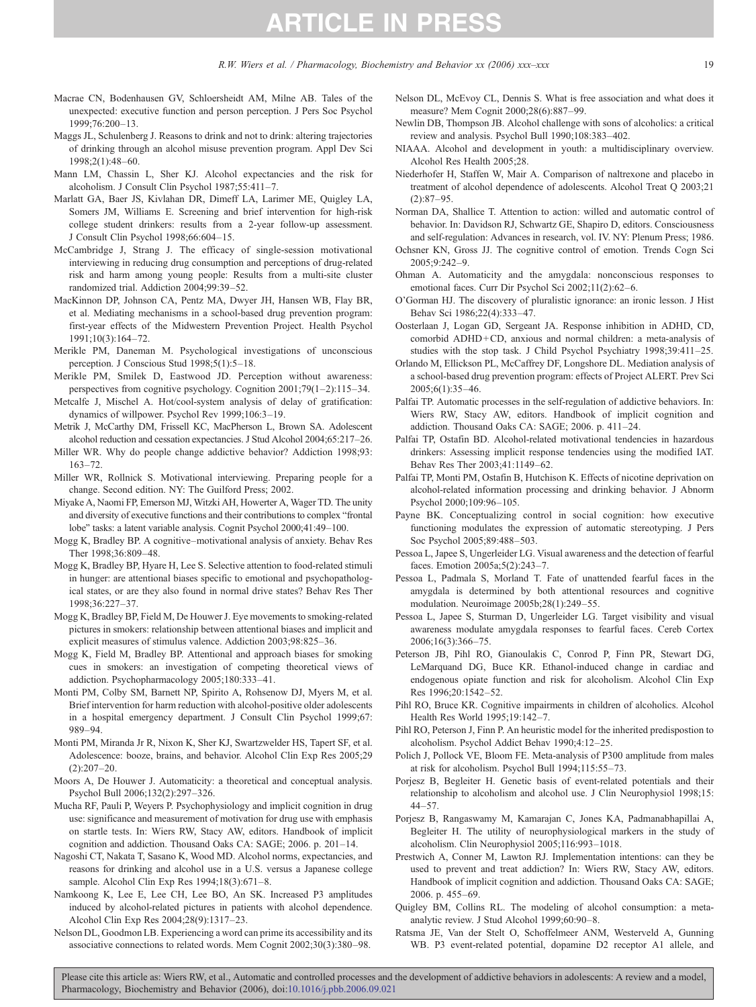- <span id="page-18-0"></span>Macrae CN, Bodenhausen GV, Schloersheidt AM, Milne AB. Tales of the unexpected: executive function and person perception. J Pers Soc Psychol 1999;76:200–13.
- Maggs JL, Schulenberg J. Reasons to drink and not to drink: altering trajectories of drinking through an alcohol misuse prevention program. Appl Dev Sci 1998;2(1):48–60.
- Mann LM, Chassin L, Sher KJ. Alcohol expectancies and the risk for alcoholism. J Consult Clin Psychol 1987;55:411–7.
- Marlatt GA, Baer JS, Kivlahan DR, Dimeff LA, Larimer ME, Quigley LA, Somers JM, Williams E. Screening and brief intervention for high-risk college student drinkers: results from a 2-year follow-up assessment. J Consult Clin Psychol 1998;66:604–15.
- McCambridge J, Strang J. The efficacy of single-session motivational interviewing in reducing drug consumption and perceptions of drug-related risk and harm among young people: Results from a multi-site cluster randomized trial. Addiction 2004;99:39–52.
- MacKinnon DP, Johnson CA, Pentz MA, Dwyer JH, Hansen WB, Flay BR, et al. Mediating mechanisms in a school-based drug prevention program: first-year effects of the Midwestern Prevention Project. Health Psychol 1991;10(3):164–72.
- Merikle PM, Daneman M. Psychological investigations of unconscious perception. J Conscious Stud 1998;5(1):5–18.
- Merikle PM, Smilek D, Eastwood JD. Perception without awareness: perspectives from cognitive psychology. Cognition 2001;79(1–2):115–34.
- Metcalfe J, Mischel A. Hot/cool-system analysis of delay of gratification: dynamics of willpower. Psychol Rev 1999;106:3–19.
- Metrik J, McCarthy DM, Frissell KC, MacPherson L, Brown SA. Adolescent alcohol reduction and cessation expectancies. J Stud Alcohol 2004;65:217–26.
- Miller WR. Why do people change addictive behavior? Addiction 1998;93: 163–72.
- Miller WR, Rollnick S. Motivational interviewing. Preparing people for a change. Second edition. NY: The Guilford Press; 2002.
- Miyake A, Naomi FP, Emerson MJ, Witzki AH, Howerter A, Wager TD. The unity and diversity of executive functions and their contributions to complex "frontal lobe" tasks: a latent variable analysis. Cognit Psychol 2000;41:49–100.
- Mogg K, Bradley BP. A cognitive–motivational analysis of anxiety. Behav Res Ther 1998;36:809–48.
- Mogg K, Bradley BP, Hyare H, Lee S. Selective attention to food-related stimuli in hunger: are attentional biases specific to emotional and psychopathological states, or are they also found in normal drive states? Behav Res Ther 1998;36:227–37.
- Mogg K, Bradley BP, Field M, De Houwer J. Eye movements to smoking-related pictures in smokers: relationship between attentional biases and implicit and explicit measures of stimulus valence. Addiction 2003;98:825–36.
- Mogg K, Field M, Bradley BP. Attentional and approach biases for smoking cues in smokers: an investigation of competing theoretical views of addiction. Psychopharmacology 2005;180:333–41.
- Monti PM, Colby SM, Barnett NP, Spirito A, Rohsenow DJ, Myers M, et al. Brief intervention for harm reduction with alcohol-positive older adolescents in a hospital emergency department. J Consult Clin Psychol 1999;67: 989–94.
- Monti PM, Miranda Jr R, Nixon K, Sher KJ, Swartzwelder HS, Tapert SF, et al. Adolescence: booze, brains, and behavior. Alcohol Clin Exp Res 2005;29  $(2):207-20.$
- Moors A, De Houwer J. Automaticity: a theoretical and conceptual analysis. Psychol Bull 2006;132(2):297–326.
- Mucha RF, Pauli P, Weyers P. Psychophysiology and implicit cognition in drug use: significance and measurement of motivation for drug use with emphasis on startle tests. In: Wiers RW, Stacy AW, editors. Handbook of implicit cognition and addiction. Thousand Oaks CA: SAGE; 2006. p. 201–14.
- Nagoshi CT, Nakata T, Sasano K, Wood MD. Alcohol norms, expectancies, and reasons for drinking and alcohol use in a U.S. versus a Japanese college sample. Alcohol Clin Exp Res 1994;18(3):671–8.
- Namkoong K, Lee E, Lee CH, Lee BO, An SK. Increased P3 amplitudes induced by alcohol-related pictures in patients with alcohol dependence. Alcohol Clin Exp Res 2004;28(9):1317–23.
- Nelson DL, Goodmon LB. Experiencing a word can prime its accessibility and its associative connections to related words. Mem Cognit 2002;30(3):380–98.
- Nelson DL, McEvoy CL, Dennis S. What is free association and what does it measure? Mem Cognit 2000;28(6):887–99.
- Newlin DB, Thompson JB. Alcohol challenge with sons of alcoholics: a critical review and analysis. Psychol Bull 1990;108:383–402.
- NIAAA. Alcohol and development in youth: a multidisciplinary overview. Alcohol Res Health 2005;28.
- Niederhofer H, Staffen W, Mair A. Comparison of naltrexone and placebo in treatment of alcohol dependence of adolescents. Alcohol Treat Q 2003;21  $(2):87-95.$
- Norman DA, Shallice T. Attention to action: willed and automatic control of behavior. In: Davidson RJ, Schwartz GE, Shapiro D, editors. Consciousness and self-regulation: Advances in research, vol. IV. NY: Plenum Press; 1986.
- Ochsner KN, Gross JJ. The cognitive control of emotion. Trends Cogn Sci 2005;9:242–9.
- Ohman A. Automaticity and the amygdala: nonconscious responses to emotional faces. Curr Dir Psychol Sci 2002;11(2):62–6.
- 'Gorman HJ. The discovery of pluralistic ignorance: an ironic lesson. J Hist Behav Sci 1986;22(4):333–47.
- Oosterlaan J, Logan GD, Sergeant JA. Response inhibition in ADHD, CD, comorbid ADHD +CD, anxious and normal children: a meta-analysis of studies with the stop task. J Child Psychol Psychiatry 1998;39:411–25.
- Orlando M, Ellickson PL, McCaffrey DF, Longshore DL. Mediation analysis of a school-based drug prevention program: effects of Project ALERT. Prev Sci 2005;6(1):35–46.
- Palfai TP. Automatic processes in the self-regulation of addictive behaviors. In: Wiers RW, Stacy AW, editors. Handbook of implicit cognition and addiction. Thousand Oaks CA: SAGE; 2006. p. 411–24.
- Palfai TP, Ostafin BD. Alcohol-related motivational tendencies in hazardous drinkers: Assessing implicit response tendencies using the modified IAT. Behav Res Ther 2003;41:1149–62.
- Palfai TP, Monti PM, Ostafin B, Hutchison K. Effects of nicotine deprivation on alcohol-related information processing and drinking behavior. J Abnorm Psychol 2000;109:96–105.
- Payne BK. Conceptualizing control in social cognition: how executive functioning modulates the expression of automatic stereotyping. J Pers Soc Psychol 2005;89:488–503.
- Pessoa L, Japee S, Ungerleider LG. Visual awareness and the detection of fearful faces. Emotion 2005a;5(2):243–7.
- Pessoa L, Padmala S, Morland T. Fate of unattended fearful faces in the amygdala is determined by both attentional resources and cognitive modulation. Neuroimage 2005b;28(1):249–55.
- Pessoa L, Japee S, Sturman D, Ungerleider LG. Target visibility and visual awareness modulate amygdala responses to fearful faces. Cereb Cortex 2006;16(3):366–75.
- Peterson JB, Pihl RO, Gianoulakis C, Conrod P, Finn PR, Stewart DG, LeMarquand DG, Buce KR. Ethanol-induced change in cardiac and endogenous opiate function and risk for alcoholism. Alcohol Clin Exp Res 1996;20:1542–52.
- Pihl RO, Bruce KR. Cognitive impairments in children of alcoholics. Alcohol Health Res World 1995;19:142–7.
- Pihl RO, Peterson J, Finn P. An heuristic model for the inherited predispostion to alcoholism. Psychol Addict Behav 1990;4:12–25.
- Polich J, Pollock VE, Bloom FE. Meta-analysis of P300 amplitude from males at risk for alcoholism. Psychol Bull 1994;115:55–73.
- Porjesz B, Begleiter H. Genetic basis of event-related potentials and their relationship to alcoholism and alcohol use. J Clin Neurophysiol 1998;15: 44–57.
- Porjesz B, Rangaswamy M, Kamarajan C, Jones KA, Padmanabhapillai A, Begleiter H. The utility of neurophysiological markers in the study of alcoholism. Clin Neurophysiol 2005;116:993–1018.
- Prestwich A, Conner M, Lawton RJ. Implementation intentions: can they be used to prevent and treat addiction? In: Wiers RW, Stacy AW, editors. Handbook of implicit cognition and addiction. Thousand Oaks CA: SAGE; 2006. p. 455–69.
- Quigley BM, Collins RL. The modeling of alcohol consumption: a metaanalytic review. J Stud Alcohol 1999;60:90–8.
- Ratsma JE, Van der Stelt O, Schoffelmeer ANM, Westerveld A, Gunning WB. P3 event-related potential, dopamine D2 receptor A1 allele, and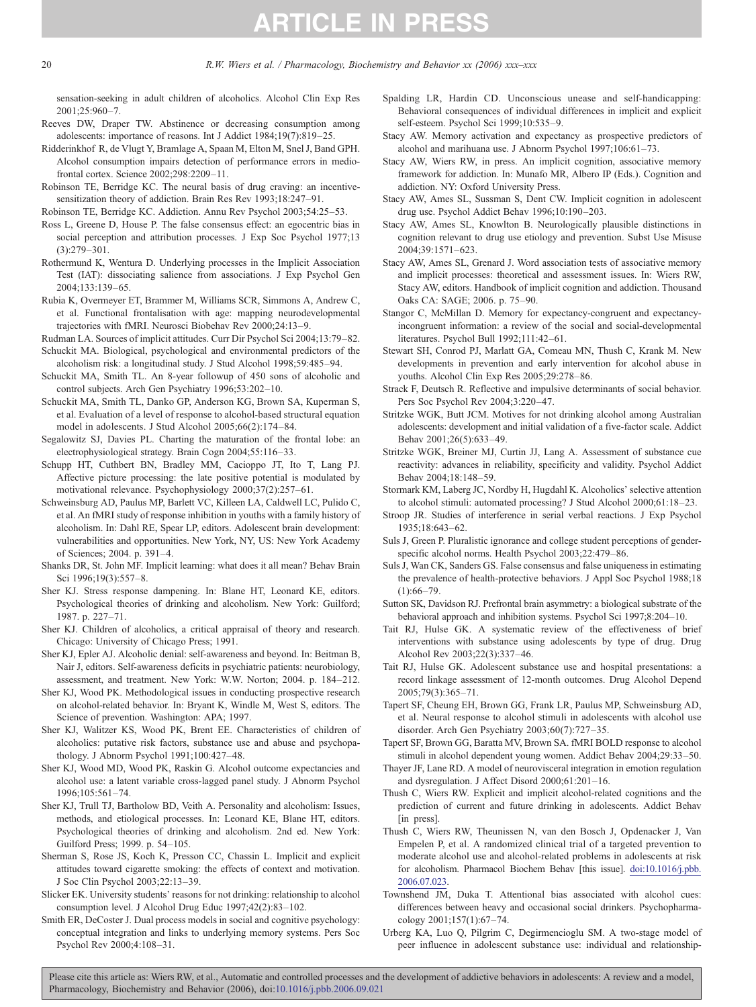<span id="page-19-0"></span>sensation-seeking in adult children of alcoholics. Alcohol Clin Exp Res 2001;25:960–7.

- Reeves DW, Draper TW. Abstinence or decreasing consumption among adolescents: importance of reasons. Int J Addict 1984;19(7):819–25.
- Ridderinkhof R, de Vlugt Y, Bramlage A, Spaan M, Elton M, Snel J, Band GPH. Alcohol consumption impairs detection of performance errors in mediofrontal cortex. Science 2002;298:2209–11.
- Robinson TE, Berridge KC. The neural basis of drug craving: an incentivesensitization theory of addiction. Brain Res Rev 1993;18:247–91.
- Robinson TE, Berridge KC. Addiction. Annu Rev Psychol 2003;54:25–53.
- Ross L, Greene D, House P. The false consensus effect: an egocentric bias in social perception and attribution processes. J Exp Soc Psychol 1977;13 (3):279–301.
- Rothermund K, Wentura D. Underlying processes in the Implicit Association Test (IAT): dissociating salience from associations. J Exp Psychol Gen 2004;133:139–65.
- Rubia K, Overmeyer ET, Brammer M, Williams SCR, Simmons A, Andrew C, et al. Functional frontalisation with age: mapping neurodevelopmental trajectories with fMRI. Neurosci Biobehav Rev 2000;24:13–9.
- Rudman LA. Sources of implicit attitudes. Curr Dir Psychol Sci 2004;13:79–82.
- Schuckit MA. Biological, psychological and environmental predictors of the alcoholism risk: a longitudinal study. J Stud Alcohol 1998;59:485–94.
- Schuckit MA, Smith TL. An 8-year followup of 450 sons of alcoholic and control subjects. Arch Gen Psychiatry 1996;53:202–10.
- Schuckit MA, Smith TL, Danko GP, Anderson KG, Brown SA, Kuperman S, et al. Evaluation of a level of response to alcohol-based structural equation model in adolescents. J Stud Alcohol 2005;66(2):174–84.
- Segalowitz SJ, Davies PL. Charting the maturation of the frontal lobe: an electrophysiological strategy. Brain Cogn 2004;55:116–33.
- Schupp HT, Cuthbert BN, Bradley MM, Cacioppo JT, Ito T, Lang PJ. Affective picture processing: the late positive potential is modulated by motivational relevance. Psychophysiology 2000;37(2):257–61.
- Schweinsburg AD, Paulus MP, Barlett VC, Killeen LA, Caldwell LC, Pulido C, et al. An fMRI study of response inhibition in youths with a family history of alcoholism. In: Dahl RE, Spear LP, editors. Adolescent brain development: vulnerabilities and opportunities. New York, NY, US: New York Academy of Sciences; 2004. p. 391–4.
- Shanks DR, St. John MF. Implicit learning: what does it all mean? Behav Brain Sci 1996;19(3):557–8.
- Sher KJ. Stress response dampening. In: Blane HT, Leonard KE, editors. Psychological theories of drinking and alcoholism. New York: Guilford; 1987. p. 227–71.
- Sher KJ. Children of alcoholics, a critical appraisal of theory and research. Chicago: University of Chicago Press; 1991.
- Sher KJ, Epler AJ. Alcoholic denial: self-awareness and beyond. In: Beitman B, Nair J, editors. Self-awareness deficits in psychiatric patients: neurobiology, assessment, and treatment. New York: W.W. Norton; 2004. p. 184–212.
- Sher KJ, Wood PK. Methodological issues in conducting prospective research on alcohol-related behavior. In: Bryant K, Windle M, West S, editors. The Science of prevention. Washington: APA; 1997.
- Sher KJ, Walitzer KS, Wood PK, Brent EE. Characteristics of children of alcoholics: putative risk factors, substance use and abuse and psychopathology. J Abnorm Psychol 1991;100:427–48.
- Sher KJ, Wood MD, Wood PK, Raskin G. Alcohol outcome expectancies and alcohol use: a latent variable cross-lagged panel study. J Abnorm Psychol 1996;105:561–74.
- Sher KJ, Trull TJ, Bartholow BD, Veith A. Personality and alcoholism: Issues, methods, and etiological processes. In: Leonard KE, Blane HT, editors. Psychological theories of drinking and alcoholism. 2nd ed. New York: Guilford Press; 1999. p. 54–105.
- Sherman S, Rose JS, Koch K, Presson CC, Chassin L. Implicit and explicit attitudes toward cigarette smoking: the effects of context and motivation. J Soc Clin Psychol 2003;22:13–39.
- Slicker EK. University students' reasons for not drinking: relationship to alcohol consumption level. J Alcohol Drug Educ 1997;42(2):83–102.
- Smith ER, DeCoster J. Dual process models in social and cognitive psychology: conceptual integration and links to underlying memory systems. Pers Soc Psychol Rev 2000;4:108–31.
- Spalding LR, Hardin CD. Unconscious unease and self-handicapping: Behavioral consequences of individual differences in implicit and explicit self-esteem. Psychol Sci 1999;10:535–9.
- Stacy AW. Memory activation and expectancy as prospective predictors of alcohol and marihuana use. J Abnorm Psychol 1997;106:61–73.
- Stacy AW, Wiers RW, in press. An implicit cognition, associative memory framework for addiction. In: Munafo MR, Albero IP (Eds.). Cognition and addiction. NY: Oxford University Press.
- Stacy AW, Ames SL, Sussman S, Dent CW. Implicit cognition in adolescent drug use. Psychol Addict Behav 1996;10:190–203.
- Stacy AW, Ames SL, Knowlton B. Neurologically plausible distinctions in cognition relevant to drug use etiology and prevention. Subst Use Misuse 2004;39:1571–623.
- Stacy AW, Ames SL, Grenard J. Word association tests of associative memory and implicit processes: theoretical and assessment issues. In: Wiers RW, Stacy AW, editors. Handbook of implicit cognition and addiction. Thousand Oaks CA: SAGE; 2006. p. 75–90.
- Stangor C, McMillan D. Memory for expectancy-congruent and expectancyincongruent information: a review of the social and social-developmental literatures. Psychol Bull 1992;111:42–61.
- Stewart SH, Conrod PJ, Marlatt GA, Comeau MN, Thush C, Krank M. New developments in prevention and early intervention for alcohol abuse in youths. Alcohol Clin Exp Res 2005;29:278–86.
- Strack F, Deutsch R. Reflective and impulsive determinants of social behavior. Pers Soc Psychol Rev 2004;3:220–47.
- Stritzke WGK, Butt JCM. Motives for not drinking alcohol among Australian adolescents: development and initial validation of a five-factor scale. Addict Behav 2001;26(5):633–49.
- Stritzke WGK, Breiner MJ, Curtin JJ, Lang A. Assessment of substance cue reactivity: advances in reliability, specificity and validity. Psychol Addict Behav 2004;18:148–59.
- Stormark KM, Laberg JC, Nordby H, Hugdahl K. Alcoholics' selective attention to alcohol stimuli: automated processing? J Stud Alcohol 2000;61:18–23.
- Stroop JR. Studies of interference in serial verbal reactions. J Exp Psychol 1935;18:643–62.
- Suls J, Green P. Pluralistic ignorance and college student perceptions of genderspecific alcohol norms. Health Psychol 2003;22:479–86.
- Suls J, Wan CK, Sanders GS. False consensus and false uniqueness in estimating the prevalence of health-protective behaviors. J Appl Soc Psychol 1988;18  $(1):66-79.$
- Sutton SK, Davidson RJ. Prefrontal brain asymmetry: a biological substrate of the behavioral approach and inhibition systems. Psychol Sci 1997;8:204–10.
- Tait RJ, Hulse GK. A systematic review of the effectiveness of brief interventions with substance using adolescents by type of drug. Drug Alcohol Rev 2003;22(3):337–46.
- Tait RJ, Hulse GK. Adolescent substance use and hospital presentations: a record linkage assessment of 12-month outcomes. Drug Alcohol Depend 2005;79(3):365–71.
- Tapert SF, Cheung EH, Brown GG, Frank LR, Paulus MP, Schweinsburg AD, et al. Neural response to alcohol stimuli in adolescents with alcohol use disorder. Arch Gen Psychiatry 2003;60(7):727–35.
- Tapert SF, Brown GG, Baratta MV, Brown SA. fMRI BOLD response to alcohol stimuli in alcohol dependent young women. Addict Behav 2004;29:33–50.
- Thayer JF, Lane RD. A model of neurovisceral integration in emotion regulation and dysregulation. J Affect Disord 2000;61:201–16.
- Thush C, Wiers RW. Explicit and implicit alcohol-related cognitions and the prediction of current and future drinking in adolescents. Addict Behav [in press].
- Thush C, Wiers RW, Theunissen N, van den Bosch J, Opdenacker J, Van Empelen P, et al. A randomized clinical trial of a targeted prevention to moderate alcohol use and alcohol-related problems in adolescents at risk for alcoholism. Pharmacol Biochem Behav [this issue]. doi:10.1016/j.pbb. 2006.07.023.
- Townshend JM, Duka T. Attentional bias associated with alcohol cues: differences between heavy and occasional social drinkers. Psychopharmacology 2001;157(1):67–74.
- Urberg KA, Luo Q, Pilgrim C, Degirmencioglu SM. A two-stage model of peer influence in adolescent substance use: individual and relationship-